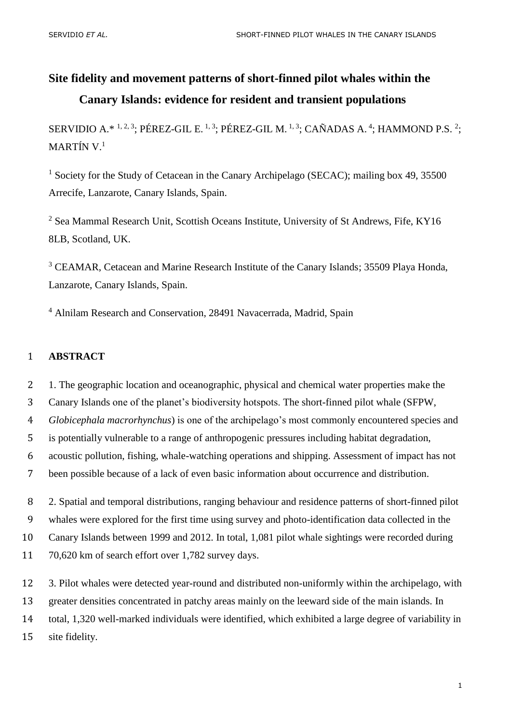# **Site fidelity and movement patterns of short-finned pilot whales within the Canary Islands: evidence for resident and transient populations**

SERVIDIO A.\*  $1, 2, 3$ ; PÉREZ-GIL E.  $1, 3$ ; PÉREZ-GIL M.  $1, 3$ ; CAÑADAS A.  $4$ ; HAMMOND P.S.  $2$ ; MARTÍN V.<sup>1</sup>

<sup>1</sup> Society for the Study of Cetacean in the Canary Archipelago (SECAC); mailing box 49, 35500 Arrecife, Lanzarote, Canary Islands, Spain.

<sup>2</sup> Sea Mammal Research Unit, Scottish Oceans Institute, University of St Andrews, Fife, KY16 8LB, Scotland, UK.

<sup>3</sup> CEAMAR, Cetacean and Marine Research Institute of the Canary Islands; 35509 Playa Honda, Lanzarote, Canary Islands, Spain.

<sup>4</sup> Alnilam Research and Conservation, 28491 Navacerrada, Madrid, Spain

## 1 **ABSTRACT**

2 1. The geographic location and oceanographic, physical and chemical water properties make the

3 Canary Islands one of the planet's biodiversity hotspots. The short-finned pilot whale (SFPW,

4 *Globicephala macrorhynchus*) is one of the archipelago's most commonly encountered species and

5 is potentially vulnerable to a range of anthropogenic pressures including habitat degradation,

6 acoustic pollution, fishing, whale-watching operations and shipping. Assessment of impact has not

7 been possible because of a lack of even basic information about occurrence and distribution.

 2. Spatial and temporal distributions, ranging behaviour and residence patterns of short-finned pilot whales were explored for the first time using survey and photo-identification data collected in the Canary Islands between 1999 and 2012. In total, 1,081 pilot whale sightings were recorded during 70,620 km of search effort over 1,782 survey days.

12 3. Pilot whales were detected year-round and distributed non-uniformly within the archipelago, with

13 greater densities concentrated in patchy areas mainly on the leeward side of the main islands. In

14 total, 1,320 well-marked individuals were identified, which exhibited a large degree of variability in

15 site fidelity.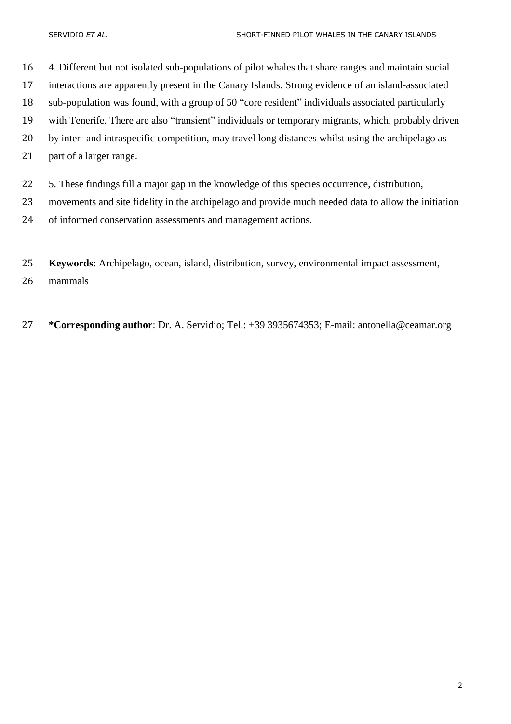4. Different but not isolated sub-populations of pilot whales that share ranges and maintain social interactions are apparently present in the Canary Islands. Strong evidence of an island-associated sub-population was found, with a group of 50 "core resident" individuals associated particularly with Tenerife. There are also "transient" individuals or temporary migrants, which, probably driven by inter- and intraspecific competition, may travel long distances whilst using the archipelago as

- part of a larger range.
- 5. These findings fill a major gap in the knowledge of this species occurrence, distribution,
- movements and site fidelity in the archipelago and provide much needed data to allow the initiation
- of informed conservation assessments and management actions.
- **Keywords**: Archipelago, ocean, island, distribution, survey, environmental impact assessment,

mammals

**\*Corresponding author**: Dr. A. Servidio; Tel.: +39 3935674353; E-mail: antonella@ceamar.org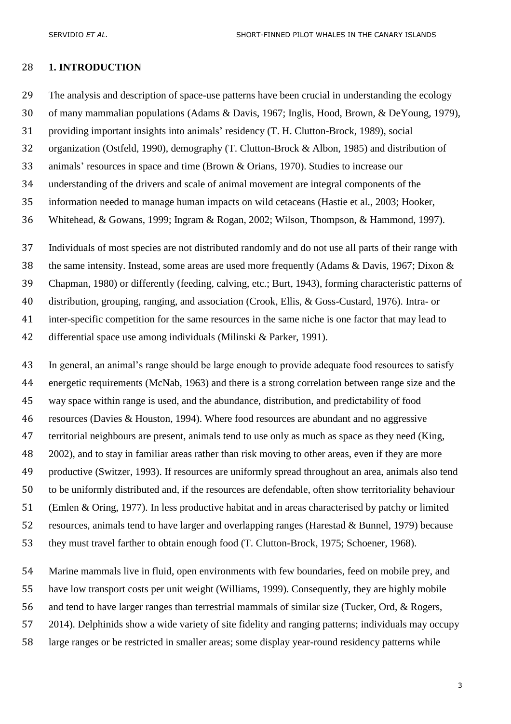## **1. INTRODUCTION**

The analysis and description of space-use patterns have been crucial in understanding the ecology

of many mammalian populations [\(Adams & Davis, 1967;](#page-20-0) [Inglis, Hood, Brown, & DeYoung, 1979\)](#page-24-0),

providing important insights into animals' residency [\(T. H. Clutton-Brock, 1989\)](#page-22-0), social

organization [\(Ostfeld, 1990\)](#page-25-0), demography [\(T. Clutton-Brock & Albon, 1985\)](#page-22-1) and distribution of

animals' resources in space and time [\(Brown & Orians, 1970\)](#page-22-2). Studies to increase our

understanding of the drivers and scale of animal movement are integral components of the

information needed to manage human impacts on wild cetaceans [\(Hastie et al., 2003;](#page-23-0) [Hooker,](#page-24-1) 

[Whitehead, & Gowans, 1999;](#page-24-1) [Ingram & Rogan, 2002;](#page-24-2) [Wilson, Thompson, & Hammond, 1997\)](#page-27-0).

 Individuals of most species are not distributed randomly and do not use all parts of their range with the same intensity. Instead, some areas are used more frequently [\(Adams & Davis, 1967;](#page-20-0) [Dixon &](#page-23-1)  [Chapman, 1980\)](#page-23-1) or differently [\(feeding, calving, etc.; Burt, 1943\)](#page-22-3), forming characteristic patterns of distribution, grouping, ranging, and association [\(Crook, Ellis, & Goss-Custard, 1976\)](#page-22-4). Intra- or inter-specific competition for the same resources in the same niche is one factor that may lead to differential space use among individuals [\(Milinski & Parker, 1991\)](#page-25-1).

 In general, an animal's range should be large enough to provide adequate food resources to satisfy energetic requirements [\(McNab, 1963\)](#page-25-2) and there is a strong correlation between range size and the way space within range is used, and the abundance, distribution, and predictability of food resources [\(Davies & Houston, 1994\)](#page-22-5). Where food resources are abundant and no aggressive territorial neighbours are present, animals tend to use only as much as space as they need [\(King,](#page-24-3)  [2002\)](#page-24-3), and to stay in familiar areas rather than risk moving to other areas, even if they are more productive [\(Switzer, 1993\)](#page-26-0). If resources are uniformly spread throughout an area, animals also tend to be uniformly distributed and, if the resources are defendable, often show territoriality behaviour [\(Emlen & Oring, 1977\)](#page-23-2). In less productive habitat and in areas characterised by patchy or limited resources, animals tend to have larger and overlapping ranges [\(Harestad & Bunnel, 1979\)](#page-23-3) because they must travel farther to obtain enough food [\(T. Clutton-Brock, 1975;](#page-22-6) [Schoener, 1968\)](#page-26-1).

 Marine mammals live in fluid, open environments with few boundaries, feed on mobile prey, and have low transport costs per unit weight [\(Williams, 1999\)](#page-27-1). Consequently, they are highly mobile and tend to have larger ranges than terrestrial mammals of similar size [\(Tucker, Ord, & Rogers,](#page-26-2)  [2014\)](#page-26-2). Delphinids show a wide variety of site fidelity and ranging patterns; individuals may occupy

large ranges or be restricted in smaller areas; some display year-round residency patterns while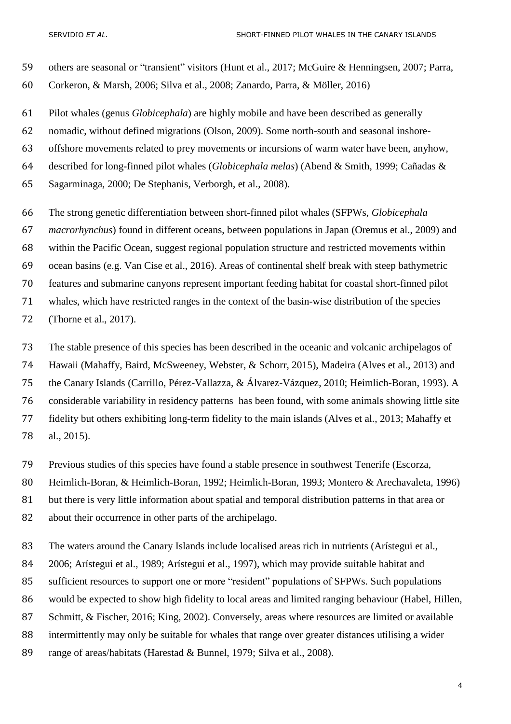others are seasonal or "transient" visitors [\(Hunt et al., 2017;](#page-24-4) [McGuire & Henningsen, 2007;](#page-25-3) [Parra,](#page-25-4)  [Corkeron, & Marsh, 2006;](#page-25-4) [Silva et al., 2008;](#page-26-3) [Zanardo, Parra, & Möller, 2016\)](#page-28-0)

Pilot whales (genus *Globicephala*) are highly mobile and have been described as generally

nomadic, without defined migrations (Olson, 2009). Some north-south and seasonal inshore-

offshore movements related to prey movements or incursions of warm water have been, anyhow,

described for long-finned pilot whales (*Globicephala melas*) [\(Abend & Smith, 1999;](#page-20-1) [Cañadas &](#page-22-7) 

[Sagarminaga, 2000;](#page-22-7) [De Stephanis, Verborgh, et al., 2008\)](#page-23-4).

 The strong genetic differentiation between short-finned pilot whales (SFPWs, *Globicephala macrorhynchus*) found in different oceans, between populations in Japan [\(Oremus et al., 2009\)](#page-25-5) and within the Pacific Ocean, suggest regional population structure and restricted movements within ocean basins [\(e.g. Van Cise et al., 2016\)](#page-26-4). Areas of continental shelf break with steep bathymetric features and submarine canyons represent important feeding habitat for coastal short-finned pilot whales, which have restricted ranges in the context of the basin-wise distribution of the species [\(Thorne et al., 2017\)](#page-26-5).

 The stable presence of this species has been described in the oceanic and volcanic archipelagos of Hawaii [\(Mahaffy, Baird, McSweeney, Webster, & Schorr, 2015\)](#page-25-6), Madeira [\(Alves et al., 2013\)](#page-20-2) and the Canary Islands [\(Carrillo, Pérez-Vallazza, & Álvarez-Vázquez, 2010;](#page-22-8) [Heimlich-Boran, 1993\)](#page-23-5). A considerable variability in residency patterns has been found, with some animals showing little site fidelity but others exhibiting long-term fidelity to the main islands [\(Alves et al., 2013;](#page-20-2) [Mahaffy et](#page-25-6)  [al., 2015\)](#page-25-6).

Previous studies of this species have found a stable presence in southwest Tenerife [\(Escorza,](#page-23-6) 

[Heimlich-Boran, & Heimlich-Boran, 1992;](#page-23-6) [Heimlich-Boran, 1993;](#page-23-5) [Montero & Arechavaleta, 1996\)](#page-25-7)

but there is very little information about spatial and temporal distribution patterns in that area or

about their occurrence in other parts of the archipelago.

83 The waters around the Canary Islands include localised areas rich in nutrients (Arístegui et al.,

[2006;](#page-20-3) [Arístegui et al., 1989;](#page-21-0) [Arístegui et al., 1997\)](#page-21-1), which may provide suitable habitat and

sufficient resources to support one or more "resident" populations of SFPWs. Such populations

would be expected to show high fidelity to local areas and limited ranging behaviour [\(Habel, Hillen,](#page-23-7) 

[Schmitt, & Fischer, 2016;](#page-23-7) [King, 2002\)](#page-24-3). Conversely, areas where resources are limited or available

intermittently may only be suitable for whales that range over greater distances utilising a wider

range of areas/habitats [\(Harestad & Bunnel, 1979;](#page-23-3) [Silva et al., 2008\)](#page-26-3).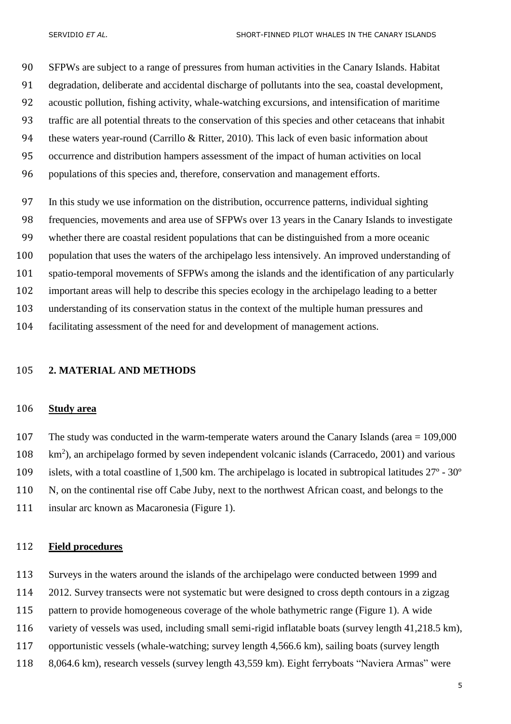SFPWs are subject to a range of pressures from human activities in the Canary Islands. Habitat degradation, deliberate and accidental discharge of pollutants into the sea, coastal development, acoustic pollution, fishing activity, whale-watching excursions, and intensification of maritime traffic are all potential threats to the conservation of this species and other cetaceans that inhabit 94 these waters year-round [\(Carrillo & Ritter, 2010\)](#page-22-9). This lack of even basic information about occurrence and distribution hampers assessment of the impact of human activities on local populations of this species and, therefore, conservation and management efforts.

 In this study we use information on the distribution, occurrence patterns, individual sighting frequencies, movements and area use of SFPWs over 13 years in the Canary Islands to investigate whether there are coastal resident populations that can be distinguished from a more oceanic population that uses the waters of the archipelago less intensively. An improved understanding of spatio-temporal movements of SFPWs among the islands and the identification of any particularly important areas will help to describe this species ecology in the archipelago leading to a better understanding of its conservation status in the context of the multiple human pressures and facilitating assessment of the need for and development of management actions.

## **2. MATERIAL AND METHODS**

#### **Study area**

 The study was conducted in the warm-temperate waters around the Canary Islands (area = 109,000  $km<sup>2</sup>$ ), an archipelago formed by seven independent volcanic islands [\(Carracedo, 2001\)](#page-22-10) and various islets, with a total coastline of 1,500 km. The archipelago is located in subtropical latitudes 27º - 30º N, on the continental rise off Cabe Juby, next to the northwest African coast, and belongs to the insular arc known as Macaronesia (Figure 1).

#### **Field procedures**

Surveys in the waters around the islands of the archipelago were conducted between 1999 and

2012. Survey transects were not systematic but were designed to cross depth contours in a zigzag

pattern to provide homogeneous coverage of the whole bathymetric range (Figure 1). A wide

variety of vessels was used, including small semi-rigid inflatable boats (survey length 41,218.5 km),

opportunistic vessels (whale-watching; survey length 4,566.6 km), sailing boats (survey length

8,064.6 km), research vessels (survey length 43,559 km). Eight ferryboats "Naviera Armas" were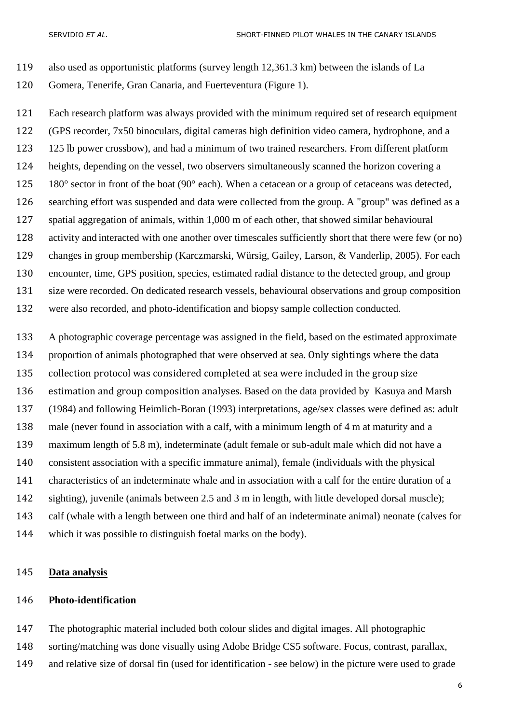- also used as opportunistic platforms (survey length 12,361.3 km) between the islands of La
- Gomera, Tenerife, Gran Canaria, and Fuerteventura (Figure 1).

 Each research platform was always provided with the minimum required set of research equipment (GPS recorder, 7x50 binoculars, digital cameras high definition video camera, hydrophone, and a 125 lb power crossbow), and had a minimum of two trained researchers. From different platform heights, depending on the vessel, two observers simultaneously scanned the horizon covering a 125 180° sector in front of the boat (90° each). When a cetacean or a group of cetaceans was detected, searching effort was suspended and data were collected from the group. A "group" was defined as a spatial aggregation of animals, within 1,000 m of each other, thatshowed similar behavioural activity and interacted with one another over timescales sufficiently short that there were few (or no) changes in group membership [\(Karczmarski, Würsig, Gailey, Larson, & Vanderlip, 2005\)](#page-24-5). For each encounter, time, GPS position, species, estimated radial distance to the detected group, and group size were recorded. On dedicated research vessels, behavioural observations and group composition were also recorded, and photo-identification and biopsy sample collection conducted.

 A photographic coverage percentage was assigned in the field, based on the estimated approximate proportion of animals photographed that were observed at sea. Only sightings where the data collection protocol was considered completed at sea were included in the group size estimation and group composition analyses. Based on the data provided by [Kasuya and Marsh](#page-24-6)  (1984) and following [Heimlich-Boran \(1993\)](#page-23-5) interpretations, age/sex classes were defined as: adult male (never found in association with a calf, with a minimum length of 4 m at maturity and a maximum length of 5.8 m), indeterminate (adult female or sub-adult male which did not have a consistent association with a specific immature animal), female (individuals with the physical characteristics of an indeterminate whale and in association with a calf for the entire duration of a sighting), juvenile (animals between 2.5 and 3 m in length, with little developed dorsal muscle); calf (whale with a length between one third and half of an indeterminate animal) neonate (calves for which it was possible to distinguish foetal marks on the body).

## **Data analysis**

## **Photo-identification**

The photographic material included both colour slides and digital images. All photographic

- sorting/matching was done visually using Adobe Bridge CS5 software. Focus, contrast, parallax,
- and relative size of dorsal fin (used for identification see below) in the picture were used to grade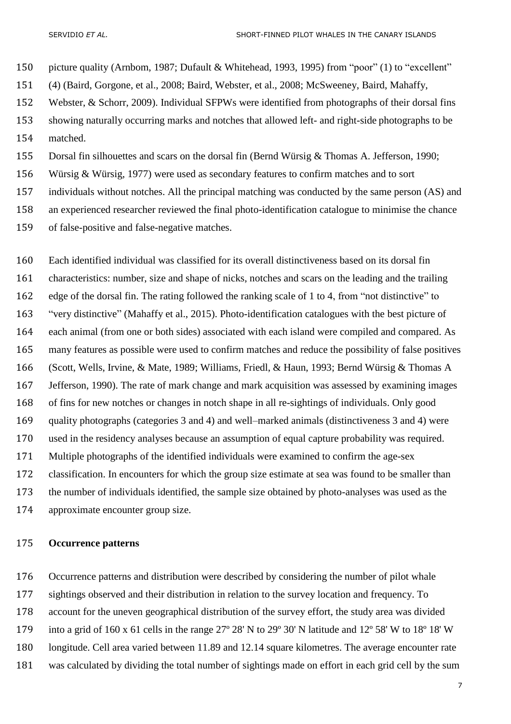picture quality [\(Arnbom, 1987;](#page-21-2) [Dufault & Whitehead, 1993,](#page-23-8) [1995\)](#page-23-9) from "poor" (1) to "excellent" (4) [\(Baird, Gorgone, et al., 2008;](#page-21-3) [Baird, Webster, et al., 2008;](#page-21-4) [McSweeney, Baird, Mahaffy,](#page-25-8)  [Webster, & Schorr, 2009\)](#page-25-8). Individual SFPWs were identified from photographs of their dorsal fins showing naturally occurring marks and notches that allowed left- and right-side photographs to be matched. Dorsal fin silhouettes and scars on the dorsal fin [\(Bernd Würsig & Thomas A. Jefferson, 1990;](#page-27-2) [Würsig & Würsig, 1977\)](#page-28-1) were used as secondary features to confirm matches and to sort

individuals without notches. All the principal matching was conducted by the same person (AS) and

an experienced researcher reviewed the final photo-identification catalogue to minimise the chance

of false-positive and false-negative matches.

 Each identified individual was classified for its overall distinctiveness based on its dorsal fin characteristics: number, size and shape of nicks, notches and scars on the leading and the trailing edge of the dorsal fin. The rating followed the ranking scale of 1 to 4, from "not distinctive" to "very distinctive" [\(Mahaffy et al., 2015\)](#page-25-6). Photo-identification catalogues with the best picture of each animal (from one or both sides) associated with each island were compiled and compared. As many features as possible were used to confirm matches and reduce the possibility of false positives [\(Scott, Wells, Irvine, & Mate, 1989;](#page-26-6) [Williams, Friedl, & Haun, 1993;](#page-27-3) [Bernd Würsig & Thomas A](#page-28-2)  [Jefferson, 1990\)](#page-28-2). The rate of mark change and mark acquisition was assessed by examining images of fins for new notches or changes in notch shape in all re-sightings of individuals. Only good quality photographs (categories 3 and 4) and well–marked animals (distinctiveness 3 and 4) were used in the residency analyses because an assumption of equal capture probability was required. Multiple photographs of the identified individuals were examined to confirm the age-sex classification. In encounters for which the group size estimate at sea was found to be smaller than the number of individuals identified, the sample size obtained by photo-analyses was used as the approximate encounter group size.

## **Occurrence patterns**

Occurrence patterns and distribution were described by considering the number of pilot whale

sightings observed and their distribution in relation to the survey location and frequency. To

account for the uneven geographical distribution of the survey effort, the study area was divided

into a grid of 160 x 61 cells in the range 27º 28' N to 29º 30' N latitude and 12º 58' W to 18º 18' W

longitude. Cell area varied between 11.89 and 12.14 square kilometres. The average encounter rate

was calculated by dividing the total number of sightings made on effort in each grid cell by the sum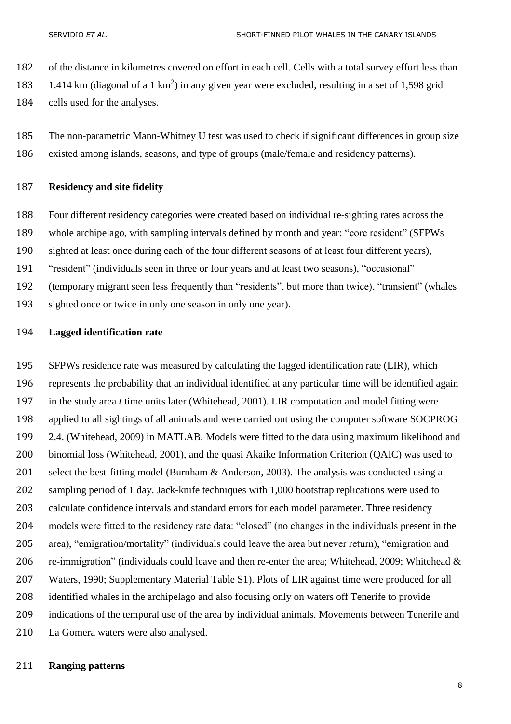of the distance in kilometres covered on effort in each cell. Cells with a total survey effort less than

1.414 km (diagonal of a 1 km<sup>2</sup>) in any given year were excluded, resulting in a set of 1,598 grid

cells used for the analyses.

 The non-parametric Mann-Whitney U test was used to check if significant differences in group size existed among islands, seasons, and type of groups (male/female and residency patterns).

## **Residency and site fidelity**

Four different residency categories were created based on individual re-sighting rates across the

whole archipelago, with sampling intervals defined by month and year: "core resident" (SFPWs

sighted at least once during each of the four different seasons of at least four different years),

"resident" (individuals seen in three or four years and at least two seasons), "occasional"

- (temporary migrant seen less frequently than "residents", but more than twice), "transient" (whales
- sighted once or twice in only one season in only one year).

## **Lagged identification rate**

 SFPWs residence rate was measured by calculating the lagged identification rate (LIR), which represents the probability that an individual identified at any particular time will be identified again in the study area *t* time units later [\(Whitehead, 2001\)](#page-27-4). LIR computation and model fitting were applied to all sightings of all animals and were carried out using the computer software SOCPROG 2.4. [\(Whitehead, 2009\)](#page-27-5) in MATLAB. Models were fitted to the data using maximum likelihood and binomial loss [\(Whitehead, 2001\)](#page-27-4), and the quasi Akaike Information Criterion (QAIC) was used to select the best-fitting model [\(Burnham & Anderson, 2003\)](#page-22-11). The analysis was conducted using a sampling period of 1 day. Jack-knife techniques with 1,000 bootstrap replications were used to calculate confidence intervals and standard errors for each model parameter. Three residency models were fitted to the residency rate data: "closed" (no changes in the individuals present in the area), "emigration/mortality" (individuals could leave the area but never return), "emigration and re-immigration" (individuals could leave and then re-enter the area; [Whitehead, 2009;](#page-27-5) [Whitehead &](#page-27-6)  [Waters, 1990; Supplementary Material Table S1\)](#page-27-6). Plots of LIR against time were produced for all identified whales in the archipelago and also focusing only on waters off Tenerife to provide indications of the temporal use of the area by individual animals. Movements between Tenerife and La Gomera waters were also analysed.

## **Ranging patterns**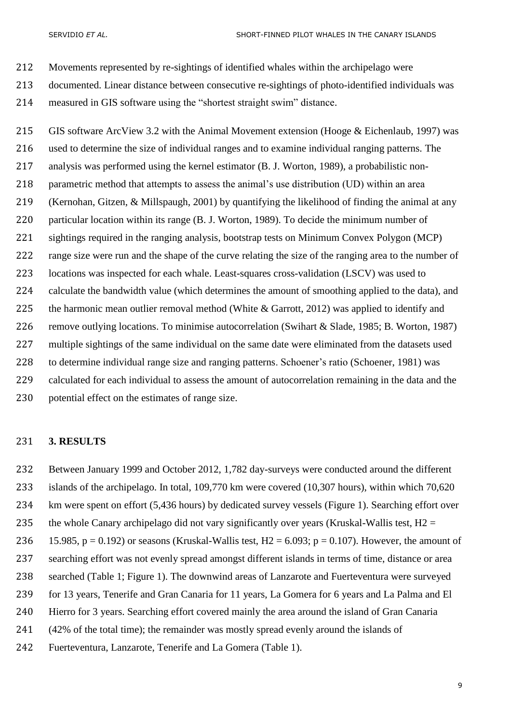- Movements represented by re-sightings of identified whales within the archipelago were
- documented. Linear distance between consecutive re-sightings of photo-identified individuals was
- measured in GIS software using the "shortest straight swim" distance.

 GIS software ArcView 3.2 with the Animal Movement extension [\(Hooge & Eichenlaub, 1997\)](#page-24-7) was used to determine the size of individual ranges and to examine individual ranging patterns. The analysis was performed using the kernel estimator [\(B. J. Worton, 1989\)](#page-27-7), a probabilistic non- parametric method that attempts to assess the animal's use distribution (UD) within an area [\(Kernohan, Gitzen, & Millspaugh, 2001\)](#page-24-8) by quantifying the likelihood of finding the animal at any particular location within its range [\(B. J. Worton, 1989\)](#page-27-7). To decide the minimum number of sightings required in the ranging analysis, bootstrap tests on Minimum Convex Polygon (MCP) range size were run and the shape of the curve relating the size of the ranging area to the number of 223 locations was inspected for each whale. Least-squares cross-validation (LSCV) was used to calculate the bandwidth value (which determines the amount of smoothing applied to the data), and 225 the harmonic mean outlier removal method [\(White & Garrott, 2012\)](#page-27-8) was applied to identify and remove outlying locations. To minimise autocorrelation [\(Swihart & Slade, 1985;](#page-26-7) [B. Worton, 1987\)](#page-27-9) multiple sightings of the same individual on the same date were eliminated from the datasets used to determine individual range size and ranging patterns. Schoener's ratio [\(Schoener, 1981\)](#page-26-8) was calculated for each individual to assess the amount of autocorrelation remaining in the data and the potential effect on the estimates of range size.

#### **3. RESULTS**

- Between January 1999 and October 2012, 1,782 day-surveys were conducted around the different
- islands of the archipelago. In total, 109,770 km were covered (10,307 hours), within which 70,620
- km were spent on effort (5,436 hours) by dedicated survey vessels (Figure 1). Searching effort over
- 235 the whole Canary archipelago did not vary significantly over years (Kruskal-Wallis test,  $H2 =$
- 236 15.985, p = 0.192) or seasons (Kruskal-Wallis test, H2 = 6.093; p = 0.107). However, the amount of
- searching effort was not evenly spread amongst different islands in terms of time, distance or area
- searched (Table 1; Figure 1). The downwind areas of Lanzarote and Fuerteventura were surveyed
- for 13 years, Tenerife and Gran Canaria for 11 years, La Gomera for 6 years and La Palma and El
- Hierro for 3 years. Searching effort covered mainly the area around the island of Gran Canaria
- (42% of the total time); the remainder was mostly spread evenly around the islands of
- Fuerteventura, Lanzarote, Tenerife and La Gomera (Table 1).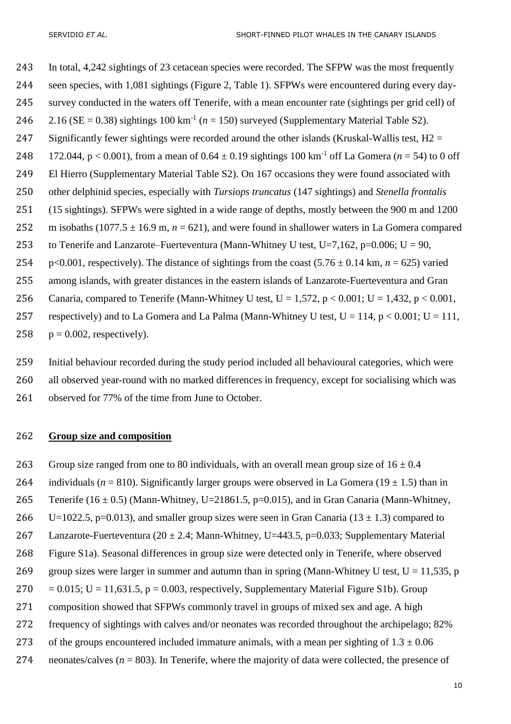243 In total, 4,242 sightings of 23 cetacean species were recorded. The SFPW was the most frequently 244 seen species, with 1,081 sightings (Figure 2, Table 1). SFPWs were encountered during every day-245 survey conducted in the waters off Tenerife, with a mean encounter rate (sightings per grid cell) of 2.16 ( $SE = 0.38$ ) sightings 100 km<sup>-1</sup> ( $n = 150$ ) surveyed (Supplementary Material Table S2). 247 Significantly fewer sightings were recorded around the other islands (Kruskal-Wallis test,  $H2 =$ 248 172.044, p < 0.001), from a mean of  $0.64 \pm 0.19$  sightings 100 km<sup>-1</sup> off La Gomera ( $n = 54$ ) to 0 off 249 El Hierro (Supplementary Material Table S2). On 167 occasions they were found associated with 250 other delphinid species, especially with *Tursiops truncatus* (147 sightings) and *Stenella frontalis* 251 (15 sightings). SFPWs were sighted in a wide range of depths, mostly between the 900 m and 1200 252 m isobaths  $(1077.5 \pm 16.9 \text{ m}, n = 621)$ , and were found in shallower waters in La Gomera compared 253 to Tenerife and Lanzarote–Fuerteventura (Mann-Whitney U test, U=7,162, p=0.006; U = 90, 254 p<0.001, respectively). The distance of sightings from the coast  $(5.76 \pm 0.14 \text{ km}, n = 625)$  varied 255 among islands, with greater distances in the eastern islands of Lanzarote-Fuerteventura and Gran 256 Canaria, compared to Tenerife (Mann-Whitney U test,  $U = 1.572$ ,  $p < 0.001$ ;  $U = 1.432$ ,  $p < 0.001$ , 257 respectively) and to La Gomera and La Palma (Mann-Whitney U test,  $U = 114$ ,  $p < 0.001$ ;  $U = 111$ , 258  $p = 0.002$ , respectively).

259 Initial behaviour recorded during the study period included all behavioural categories, which were 260 all observed year-round with no marked differences in frequency, except for socialising which was 261 observed for 77% of the time from June to October.

## 262 **Group size and composition**

- 263 Group size ranged from one to 80 individuals, with an overall mean group size of  $16 \pm 0.4$
- 264 individuals ( $n = 810$ ). Significantly larger groups were observed in La Gomera ( $19 \pm 1.5$ ) than in
- 265 Tenerife (16  $\pm$  0.5) (Mann-Whitney, U=21861.5, p=0.015), and in Gran Canaria (Mann-Whitney,
- 266 U=1022.5, p=0.013), and smaller group sizes were seen in Gran Canaria (13  $\pm$  1.3) compared to
- 267 Lanzarote-Fuerteventura (20  $\pm$  2.4; Mann-Whitney, U=443.5, p=0.033; Supplementary Material
- 268 Figure S1a). Seasonal differences in group size were detected only in Tenerife, where observed
- 269 group sizes were larger in summer and autumn than in spring (Mann-Whitney U test,  $U = 11,535$ , p
- 270 =  $0.015$ ; U = 11,631.5, p = 0.003, respectively, Supplementary Material Figure S1b). Group
- 271 composition showed that SFPWs commonly travel in groups of mixed sex and age. A high
- 272 frequency of sightings with calves and/or neonates was recorded throughout the archipelago; 82%
- 273 of the groups encountered included immature animals, with a mean per sighting of  $1.3 \pm 0.06$
- 274 neonates/calves  $(n = 803)$ . In Tenerife, where the majority of data were collected, the presence of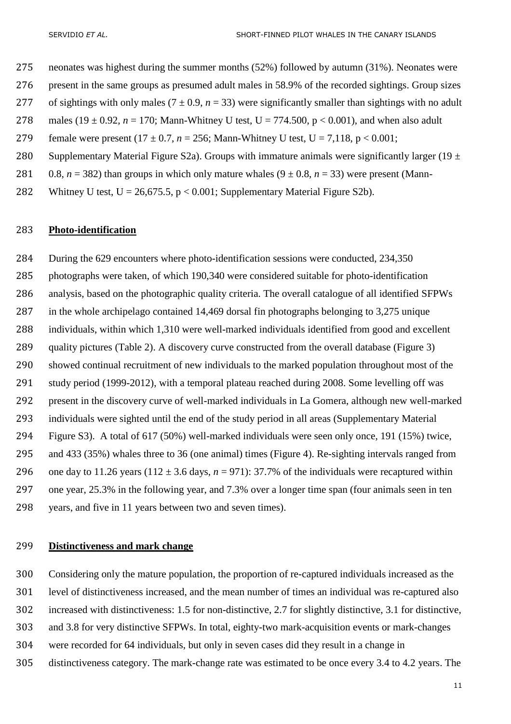- neonates was highest during the summer months (52%) followed by autumn (31%). Neonates were
- present in the same groups as presumed adult males in 58.9% of the recorded sightings. Group sizes
- 277 of sightings with only males  $(7 \pm 0.9, n = 33)$  were significantly smaller than sightings with no adult
- 278 males (19 ± 0.92,  $n = 170$ ; Mann-Whitney U test, U = 774.500, p < 0.001), and when also adult
- 279 female were present  $(17 \pm 0.7, n = 256; \text{ Mann-Whitney U test}, U = 7,118, p < 0.001;$
- 280 Supplementary Material Figure S2a). Groups with immature animals were significantly larger (19  $\pm$
- 281 0.8,  $n = 382$ ) than groups in which only mature whales  $(9 \pm 0.8, n = 33)$  were present (Mann-
- 282 Whitney U test,  $U = 26,675.5, p < 0.001$ ; Supplementary Material Figure S2b).

#### **Photo-identification**

 During the 629 encounters where photo-identification sessions were conducted, 234,350 photographs were taken, of which 190,340 were considered suitable for photo-identification analysis, based on the photographic quality criteria. The overall catalogue of all identified SFPWs in the whole archipelago contained 14,469 dorsal fin photographs belonging to 3,275 unique individuals, within which 1,310 were well-marked individuals identified from good and excellent quality pictures (Table 2). A discovery curve constructed from the overall database (Figure 3) showed continual recruitment of new individuals to the marked population throughout most of the study period (1999-2012), with a temporal plateau reached during 2008. Some levelling off was present in the discovery curve of well-marked individuals in La Gomera, although new well-marked individuals were sighted until the end of the study period in all areas (Supplementary Material Figure S3). A total of 617 (50%) well-marked individuals were seen only once, 191 (15%) twice, and 433 (35%) whales three to 36 (one animal) times (Figure 4). Re-sighting intervals ranged from 296 one day to 11.26 years ( $112 \pm 3.6$  days,  $n = 971$ ): 37.7% of the individuals were recaptured within one year, 25.3% in the following year, and 7.3% over a longer time span (four animals seen in ten years, and five in 11 years between two and seven times).

## **Distinctiveness and mark change**

Considering only the mature population, the proportion of re-captured individuals increased as the

- level of distinctiveness increased, and the mean number of times an individual was re-captured also
- increased with distinctiveness: 1.5 for non-distinctive, 2.7 for slightly distinctive, 3.1 for distinctive,
- and 3.8 for very distinctive SFPWs. In total, eighty-two mark-acquisition events or mark-changes
- were recorded for 64 individuals, but only in seven cases did they result in a change in
- distinctiveness category. The mark-change rate was estimated to be once every 3.4 to 4.2 years. The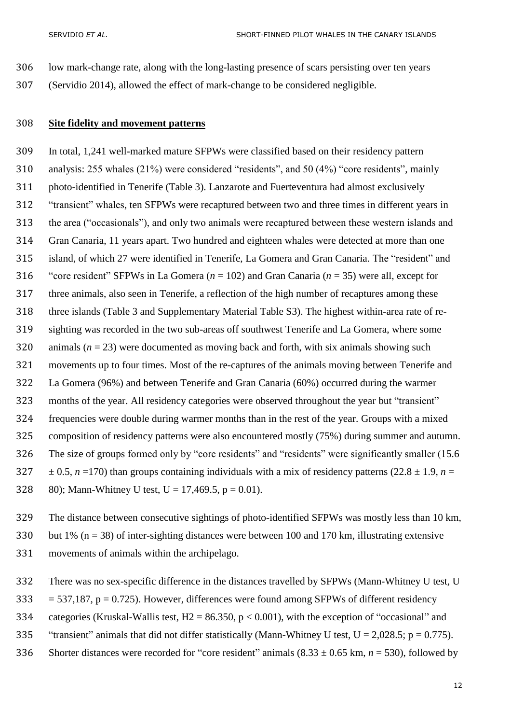- low mark-change rate, along with the long-lasting presence of scars persisting over ten years
- (Servidio 2014), allowed the effect of mark-change to be considered negligible.

## **Site fidelity and movement patterns**

 In total, 1,241 well-marked mature SFPWs were classified based on their residency pattern analysis: 255 whales (21%) were considered "residents", and 50 (4%) "core residents", mainly photo-identified in Tenerife (Table 3). Lanzarote and Fuerteventura had almost exclusively "transient" whales, ten SFPWs were recaptured between two and three times in different years in the area ("occasionals"), and only two animals were recaptured between these western islands and Gran Canaria, 11 years apart. Two hundred and eighteen whales were detected at more than one island, of which 27 were identified in Tenerife, La Gomera and Gran Canaria. The "resident" and "core resident" SFPWs in La Gomera (*n* = 102) and Gran Canaria (*n* = 35) were all, except for three animals, also seen in Tenerife, a reflection of the high number of recaptures among these three islands (Table 3 and Supplementary Material Table S3). The highest within-area rate of re- sighting was recorded in the two sub-areas off southwest Tenerife and La Gomera, where some 320 animals  $(n = 23)$  were documented as moving back and forth, with six animals showing such movements up to four times. Most of the re-captures of the animals moving between Tenerife and La Gomera (96%) and between Tenerife and Gran Canaria (60%) occurred during the warmer months of the year. All residency categories were observed throughout the year but "transient" frequencies were double during warmer months than in the rest of the year. Groups with a mixed composition of residency patterns were also encountered mostly (75%) during summer and autumn. The size of groups formed only by "core residents" and "residents" were significantly smaller (15.6  $\pm$  0.5, *n* =170) than groups containing individuals with a mix of residency patterns (22.8  $\pm$  1.9, *n* = 328 80); Mann-Whitney U test,  $U = 17,469.5$ ,  $p = 0.01$ .

 The distance between consecutive sightings of photo-identified SFPWs was mostly less than 10 km, 330 but 1% ( $n = 38$ ) of inter-sighting distances were between 100 and 170 km, illustrating extensive movements of animals within the archipelago.

- There was no sex-specific difference in the distances travelled by SFPWs (Mann-Whitney U test, U
- 333 = 537,187,  $p = 0.725$ ). However, differences were found among SFPWs of different residency
- 334 categories (Kruskal-Wallis test,  $H2 = 86.350$ ,  $p < 0.001$ ), with the exception of "occasional" and
- 335 "transient" animals that did not differ statistically (Mann-Whitney U test,  $U = 2,028.5$ ; p = 0.775).
- 336 Shorter distances were recorded for "core resident" animals  $(8.33 \pm 0.65 \text{ km}, n = 530)$ , followed by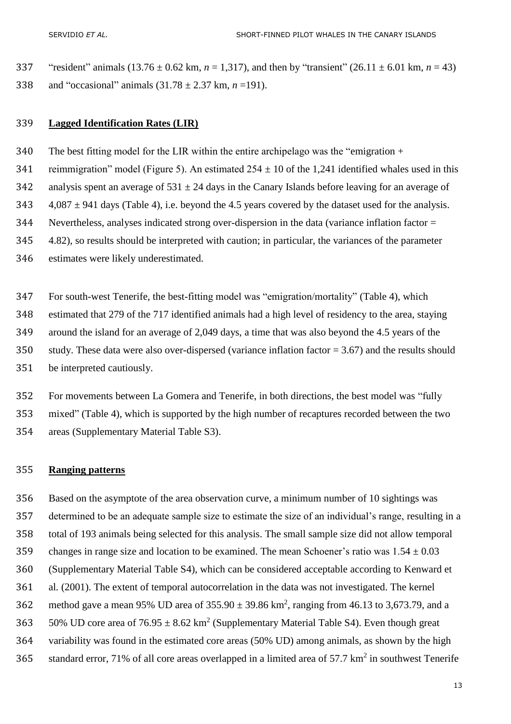337 "resident" animals  $(13.76 \pm 0.62 \text{ km}, n = 1,317)$ , and then by "transient"  $(26.11 \pm 6.01 \text{ km}, n = 43)$ and "occasional" animals (31.78 ± 2.37 km, *n* =191).

## **Lagged Identification Rates (LIR)**

The best fitting model for the LIR within the entire archipelago was the "emigration +

341 reimmigration" model (Figure 5). An estimated  $254 \pm 10$  of the 1,241 identified whales used in this

342 analysis spent an average of  $531 \pm 24$  days in the Canary Islands before leaving for an average of

343  $4,087 \pm 941$  days (Table 4), i.e. beyond the 4.5 years covered by the dataset used for the analysis.

Nevertheless, analyses indicated strong over-dispersion in the data (variance inflation factor =

4.82), so results should be interpreted with caution; in particular, the variances of the parameter

estimates were likely underestimated.

 For south-west Tenerife, the best-fitting model was "emigration/mortality" (Table 4), which estimated that 279 of the 717 identified animals had a high level of residency to the area, staying around the island for an average of 2,049 days, a time that was also beyond the 4.5 years of the study. These data were also over-dispersed (variance inflation factor = 3.67) and the results should be interpreted cautiously.

 For movements between La Gomera and Tenerife, in both directions, the best model was "fully mixed" (Table 4), which is supported by the high number of recaptures recorded between the two areas (Supplementary Material Table S3).

## **Ranging patterns**

 Based on the asymptote of the area observation curve, a minimum number of 10 sightings was determined to be an adequate sample size to estimate the size of an individual's range, resulting in a total of 193 animals being selected for this analysis. The small sample size did not allow temporal 359 changes in range size and location to be examined. The mean Schoener's ratio was  $1.54 \pm 0.03$  (Supplementary Material Table S4), which can be considered acceptable according to Kenward et al*.* (2001). The extent of temporal autocorrelation in the data was not investigated. The kernel 362 method gave a mean 95% UD area of  $355.90 \pm 39.86 \text{ km}^2$ , ranging from 46.13 to 3,673.79, and a 363 50% UD core area of  $76.95 \pm 8.62 \text{ km}^2$  (Supplementary Material Table S4). Even though great variability was found in the estimated core areas (50% UD) among animals, as shown by the high 365 standard error, 71% of all core areas overlapped in a limited area of  $57.7 \text{ km}^2$  in southwest Tenerife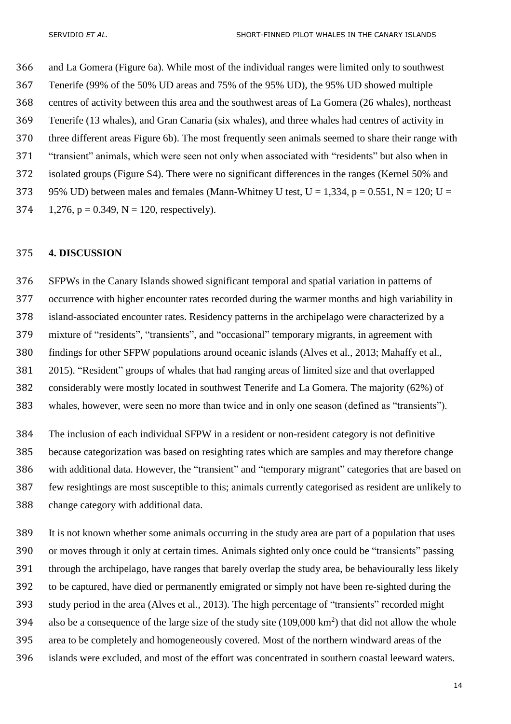and La Gomera (Figure 6a). While most of the individual ranges were limited only to southwest Tenerife (99% of the 50% UD areas and 75% of the 95% UD), the 95% UD showed multiple centres of activity between this area and the southwest areas of La Gomera (26 whales), northeast Tenerife (13 whales), and Gran Canaria (six whales), and three whales had centres of activity in three different areas Figure 6b). The most frequently seen animals seemed to share their range with "transient" animals, which were seen not only when associated with "residents" but also when in isolated groups (Figure S4). There were no significant differences in the ranges (Kernel 50% and 373 95% UD) between males and females (Mann-Whitney U test,  $U = 1,334$ ,  $p = 0.551$ ,  $N = 120$ ;  $U =$  $1,276$ ,  $p = 0.349$ ,  $N = 120$ , respectively).

## **4. DISCUSSION**

 SFPWs in the Canary Islands showed significant temporal and spatial variation in patterns of occurrence with higher encounter rates recorded during the warmer months and high variability in island-associated encounter rates. Residency patterns in the archipelago were characterized by a mixture of "residents", "transients", and "occasional" temporary migrants, in agreement with findings for other SFPW populations around oceanic islands [\(Alves et al., 2013;](#page-20-2) [Mahaffy et al.,](#page-25-6)  [2015\)](#page-25-6). "Resident" groups of whales that had ranging areas of limited size and that overlapped considerably were mostly located in southwest Tenerife and La Gomera. The majority (62%) of whales, however, were seen no more than twice and in only one season (defined as "transients").

 The inclusion of each individual SFPW in a resident or non-resident category is not definitive because categorization was based on resighting rates which are samples and may therefore change with additional data. However, the "transient" and "temporary migrant" categories that are based on few resightings are most susceptible to this; animals currently categorised as resident are unlikely to change category with additional data.

 It is not known whether some animals occurring in the study area are part of a population that uses or moves through it only at certain times. Animals sighted only once could be "transients" passing through the archipelago, have ranges that barely overlap the study area, be behaviourally less likely to be captured, have died or permanently emigrated or simply not have been re-sighted during the study period in the area (Alves et al., 2013). The high percentage of "transients" recorded might 394 also be a consequence of the large size of the study site  $(109,000 \text{ km}^2)$  that did not allow the whole area to be completely and homogeneously covered. Most of the northern windward areas of the islands were excluded, and most of the effort was concentrated in southern coastal leeward waters.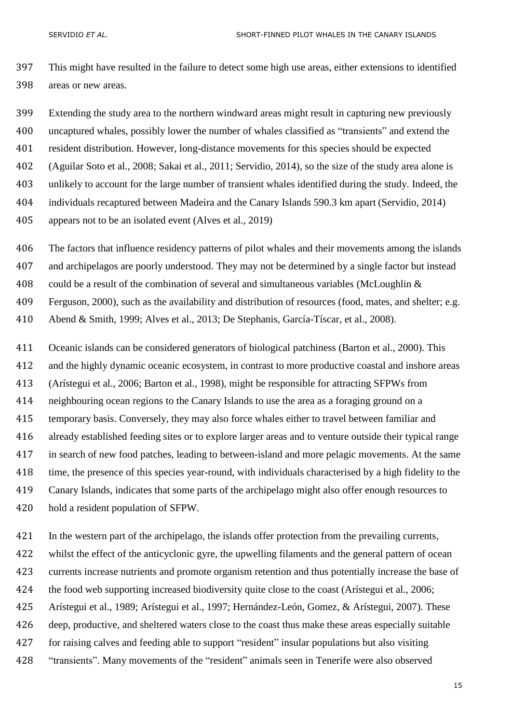This might have resulted in the failure to detect some high use areas, either extensions to identified areas or new areas.

 Extending the study area to the northern windward areas might result in capturing new previously uncaptured whales, possibly lower the number of whales classified as "transients" and extend the

resident distribution. However, long-distance movements for this species should be expected

[\(Aguilar Soto et al., 2008;](#page-20-4) [Sakai et al., 2011;](#page-26-9) [Servidio, 2014\)](#page-26-10), so the size of the study area alone is

unlikely to account for the large number of transient whales identified during the study. Indeed, the

individuals recaptured between Madeira and the Canary Islands 590.3 km apart [\(Servidio, 2014\)](#page-26-10)

appears not to be an isolated event [\(Alves et al., 2019\)](#page-20-5)

The factors that influence residency patterns of pilot whales and their movements among the islands

and archipelagos are poorly understood. They may not be determined by a single factor but instead

could be a result of the combination of several and simultaneous variables [\(McLoughlin &](#page-25-9) 

[Ferguson, 2000\)](#page-25-9), such as the availability and distribution of resources (food, mates, and shelter; e.g.

[Abend & Smith, 1999;](#page-20-1) [Alves et al., 2013;](#page-20-2) [De Stephanis, García-Tíscar, et al., 2008\)](#page-22-12).

 Oceanic islands can be considered generators of biological patchiness [\(Barton et al., 2000\)](#page-21-5). This and the highly dynamic oceanic ecosystem, in contrast to more productive coastal and inshore areas [\(Arístegui et al., 2006;](#page-20-3) [Barton et al., 1998\)](#page-21-6), might be responsible for attracting SFPWs from neighbouring ocean regions to the Canary Islands to use the area as a foraging ground on a temporary basis. Conversely, they may also force whales either to travel between familiar and already established feeding sites or to explore larger areas and to venture outside their typical range in search of new food patches, leading to between-island and more pelagic movements. At the same time, the presence of this species year-round, with individuals characterised by a high fidelity to the Canary Islands, indicates that some parts of the archipelago might also offer enough resources to

hold a resident population of SFPW.

In the western part of the archipelago, the islands offer protection from the prevailing currents,

whilst the effect of the anticyclonic gyre, the upwelling filaments and the general pattern of ocean

currents increase nutrients and promote organism retention and thus potentially increase the base of

424 the food web supporting increased biodiversity quite close to the coast [\(Arístegui et al., 2006;](#page-20-3)

[Arístegui et al., 1989;](#page-21-0) [Arístegui et al., 1997;](#page-21-1) [Hernández-León, Gomez, & Arístegui, 2007\)](#page-24-9). These

deep, productive, and sheltered waters close to the coast thus make these areas especially suitable

for raising calves and feeding able to support "resident" insular populations but also visiting

"transients". Many movements of the "resident" animals seen in Tenerife were also observed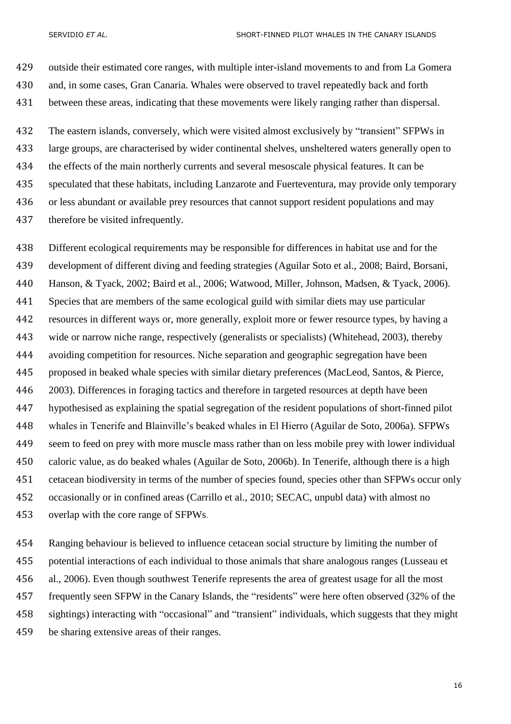outside their estimated core ranges, with multiple inter-island movements to and from La Gomera and, in some cases, Gran Canaria. Whales were observed to travel repeatedly back and forth between these areas, indicating that these movements were likely ranging rather than dispersal.

 The eastern islands, conversely, which were visited almost exclusively by "transient" SFPWs in large groups, are characterised by wider continental shelves, unsheltered waters generally open to the effects of the main northerly currents and several mesoscale physical features. It can be speculated that these habitats, including Lanzarote and Fuerteventura, may provide only temporary or less abundant or available prey resources that cannot support resident populations and may therefore be visited infrequently.

 Different ecological requirements may be responsible for differences in habitat use and for the development of different diving and feeding strategies [\(Aguilar Soto et al., 2008;](#page-20-4) [Baird, Borsani,](#page-21-7)  [Hanson, & Tyack, 2002;](#page-21-7) [Baird et al., 2006;](#page-21-8) [Watwood, Miller, Johnson, Madsen, & Tyack, 2006\)](#page-27-10). Species that are members of the same ecological guild with similar diets may use particular resources in different ways or, more generally, exploit more or fewer resource types, by having a wide or narrow niche range, respectively (generalists or specialists) [\(Whitehead, 2003\)](#page-27-11), thereby avoiding competition for resources. Niche separation and geographic segregation have been proposed in beaked whale species with similar dietary preferences [\(MacLeod, Santos, & Pierce,](#page-24-10)  [2003\)](#page-24-10). Differences in foraging tactics and therefore in targeted resources at depth have been hypothesised as explaining the spatial segregation of the resident populations of short-finned pilot whales in Tenerife and Blainville's beaked whales in El Hierro [\(Aguilar de Soto, 2006a\)](#page-20-6). SFPWs seem to feed on prey with more muscle mass rather than on less mobile prey with lower individual caloric value, as do beaked whales [\(Aguilar de Soto, 2006b\)](#page-20-7). In Tenerife, although there is a high cetacean biodiversity in terms of the number of species found, species other than SFPWs occur only occasionally or in confined areas [\(Carrillo et al., 2010; SECAC, unpubl data\)](#page-22-8) with almost no overlap with the core range of SFPWs.

 Ranging behaviour is believed to influence cetacean social structure by limiting the number of potential interactions of each individual to those animals that share analogous ranges [\(Lusseau et](#page-24-11)  [al., 2006\)](#page-24-11). Even though southwest Tenerife represents the area of greatest usage for all the most frequently seen SFPW in the Canary Islands, the "residents" were here often observed (32% of the sightings) interacting with "occasional" and "transient" individuals, which suggests that they might be sharing extensive areas of their ranges.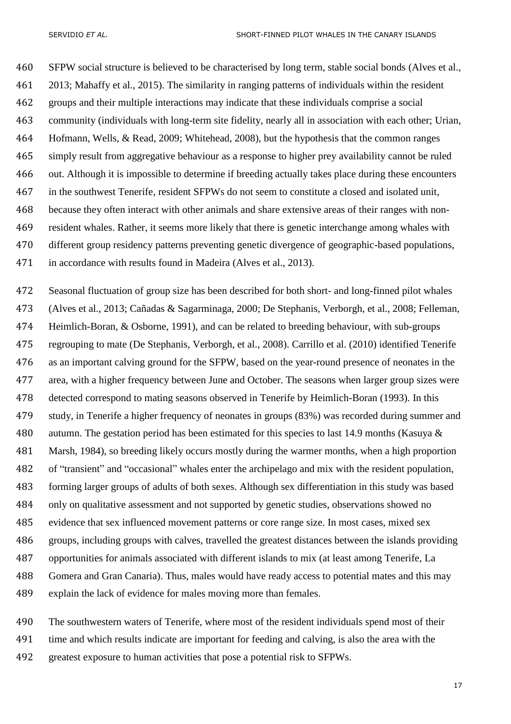SFPW social structure is believed to be characterised by long term, stable social bonds [\(Alves et al.,](#page-20-2)  [2013;](#page-20-2) [Mahaffy et al., 2015\)](#page-25-6). The similarity in ranging patterns of individuals within the resident groups and their multiple interactions may indicate that these individuals comprise a social community (individuals with long-term site fidelity, nearly all in association with each other; [Urian,](#page-26-11)  [Hofmann, Wells, & Read, 2009;](#page-26-11) [Whitehead, 2008\)](#page-27-12), but the hypothesis that the common ranges simply result from aggregative behaviour as a response to higher prey availability cannot be ruled out. Although it is impossible to determine if breeding actually takes place during these encounters in the southwest Tenerife, resident SFPWs do not seem to constitute a closed and isolated unit, because they often interact with other animals and share extensive areas of their ranges with non- resident whales. Rather, it seems more likely that there is genetic interchange among whales with different group residency patterns preventing genetic divergence of geographic-based populations, in accordance with results found in Madeira [\(Alves et al., 2013\)](#page-20-2).

 Seasonal fluctuation of group size has been described for both short- and long-finned pilot whales [\(Alves et al., 2013;](#page-20-2) [Cañadas & Sagarminaga, 2000;](#page-22-7) [De Stephanis, Verborgh, et al., 2008;](#page-23-4) [Felleman,](#page-23-10)  [Heimlich-Boran, & Osborne, 1991\)](#page-23-10), and can be related to breeding behaviour, with sub-groups regrouping to mate [\(De Stephanis, Verborgh, et al., 2008\)](#page-23-4). [Carrillo et al. \(2010\)](#page-22-8) identified Tenerife as an important calving ground for the SFPW, based on the year-round presence of neonates in the area, with a higher frequency between June and October. The seasons when larger group sizes were detected correspond to mating seasons observed in Tenerife by [Heimlich-Boran \(1993\).](#page-23-5) In this study, in Tenerife a higher frequency of neonates in groups (83%) was recorded during summer and autumn. The gestation period has been estimated for this species to last 14.9 months [\(Kasuya &](#page-24-6)  [Marsh, 1984\)](#page-24-6), so breeding likely occurs mostly during the warmer months, when a high proportion of "transient" and "occasional" whales enter the archipelago and mix with the resident population, forming larger groups of adults of both sexes. Although sex differentiation in this study was based only on qualitative assessment and not supported by genetic studies, observations showed no evidence that sex influenced movement patterns or core range size. In most cases, mixed sex groups, including groups with calves, travelled the greatest distances between the islands providing opportunities for animals associated with different islands to mix (at least among Tenerife, La Gomera and Gran Canaria). Thus, males would have ready access to potential mates and this may explain the lack of evidence for males moving more than females.

 The southwestern waters of Tenerife, where most of the resident individuals spend most of their time and which results indicate are important for feeding and calving, is also the area with the greatest exposure to human activities that pose a potential risk to SFPWs.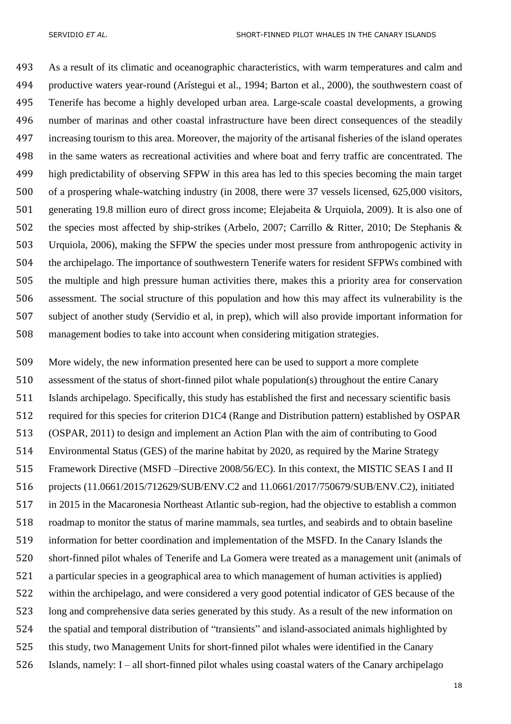As a result of its climatic and oceanographic characteristics, with warm temperatures and calm and productive waters year-round [\(Arístegui et al., 1994;](#page-21-9) [Barton et al., 2000\)](#page-21-5), the southwestern coast of Tenerife has become a highly developed urban area. Large-scale coastal developments, a growing number of marinas and other coastal infrastructure have been direct consequences of the steadily increasing tourism to this area. Moreover, the majority of the artisanal fisheries of the island operates in the same waters as recreational activities and where boat and ferry traffic are concentrated. The high predictability of observing SFPW in this area has led to this species becoming the main target of a prospering whale-watching industry [\(in 2008, there were 37 vessels licensed, 625,000 visitors,](#page-23-11)  [generating 19.8 million euro of direct gross income; Elejabeita & Urquiola, 2009\)](#page-23-11). It is also one of the species most affected by ship-strikes [\(Arbelo, 2007;](#page-20-8) [Carrillo & Ritter, 2010;](#page-22-9) [De Stephanis &](#page-23-12)  [Urquiola, 2006\)](#page-23-12), making the SFPW the species under most pressure from anthropogenic activity in the archipelago. The importance of southwestern Tenerife waters for resident SFPWs combined with the multiple and high pressure human activities there, makes this a priority area for conservation assessment. The social structure of this population and how this may affect its vulnerability is the subject of another study (Servidio et al, in prep), which will also provide important information for management bodies to take into account when considering mitigation strategies.

 More widely, the new information presented here can be used to support a more complete assessment of the status of short-finned pilot whale population(s) throughout the entire Canary Islands archipelago. Specifically, this study has established the first and necessary scientific basis required for this species for criterion D1C4 (Range and Distribution pattern) established by OSPAR [\(OSPAR, 2011\)](#page-25-10) to design and implement an Action Plan with the aim of contributing to Good Environmental Status (GES) of the marine habitat by 2020, as required by the Marine Strategy Framework Directive (MSFD –Directive 2008/56/EC). In this context, the MISTIC SEAS I and II projects (11.0661/2015/712629/SUB/ENV.C2 and 11.0661/2017/750679/SUB/ENV.C2), initiated in 2015 in the Macaronesia Northeast Atlantic sub-region, had the objective to establish a common roadmap to monitor the status of marine mammals, sea turtles, and seabirds and to obtain baseline information for better coordination and implementation of the MSFD. In the Canary Islands the short-finned pilot whales of Tenerife and La Gomera were treated as a management unit (animals of a particular species in a geographical area to which management of human activities is applied) within the archipelago, and were considered a very good potential indicator of GES because of the long and comprehensive data series generated by this study. As a result of the new information on the spatial and temporal distribution of "transients" and island-associated animals highlighted by this study, two Management Units for short-finned pilot whales were identified in the Canary Islands, namely: I – all short-finned pilot whales using coastal waters of the Canary archipelago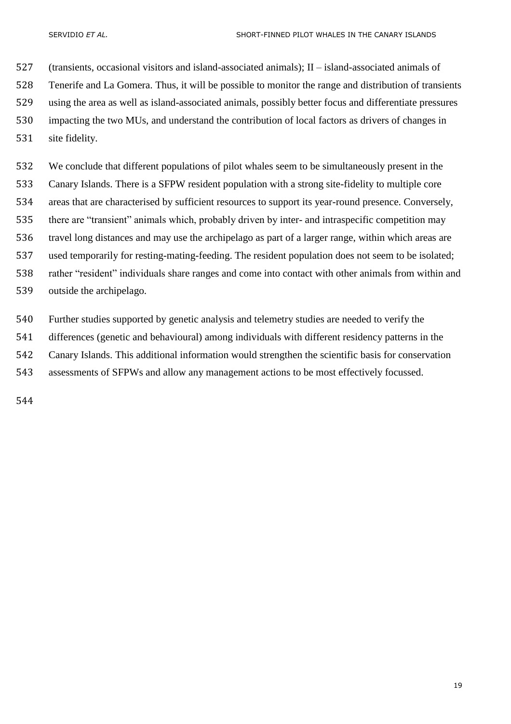(transients, occasional visitors and island-associated animals); II – island-associated animals of Tenerife and La Gomera. Thus, it will be possible to monitor the range and distribution of transients using the area as well as island-associated animals, possibly better focus and differentiate pressures impacting the two MUs, and understand the contribution of local factors as drivers of changes in site fidelity.

 We conclude that different populations of pilot whales seem to be simultaneously present in the Canary Islands. There is a SFPW resident population with a strong site-fidelity to multiple core areas that are characterised by sufficient resources to support its year-round presence. Conversely, there are "transient" animals which, probably driven by inter- and intraspecific competition may travel long distances and may use the archipelago as part of a larger range, within which areas are used temporarily for resting-mating-feeding. The resident population does not seem to be isolated; rather "resident" individuals share ranges and come into contact with other animals from within and outside the archipelago.

 Further studies supported by genetic analysis and telemetry studies are needed to verify the differences (genetic and behavioural) among individuals with different residency patterns in the Canary Islands. This additional information would strengthen the scientific basis for conservation assessments of SFPWs and allow any management actions to be most effectively focussed.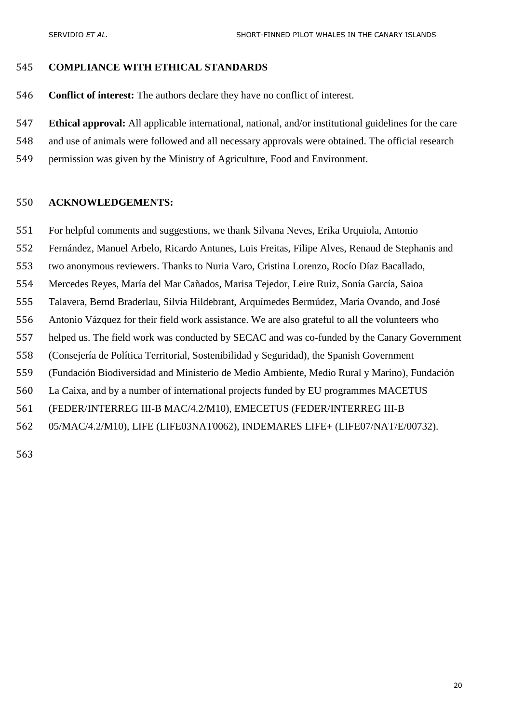## **COMPLIANCE WITH ETHICAL STANDARDS**

**Conflict of interest:** The authors declare they have no conflict of interest.

**Ethical approval:** All applicable international, national, and/or institutional guidelines for the care

- and use of animals were followed and all necessary approvals were obtained. The official research
- permission was given by the Ministry of Agriculture, Food and Environment.

## **ACKNOWLEDGEMENTS:**

- For helpful comments and suggestions, we thank Silvana Neves, Erika Urquiola, Antonio
- Fernández, Manuel Arbelo, Ricardo Antunes, Luis Freitas, Filipe Alves, Renaud de Stephanis and
- two anonymous reviewers. Thanks to Nuria Varo, Cristina Lorenzo, Rocío Díaz Bacallado,
- Mercedes Reyes, María del Mar Cañados, Marisa Tejedor, Leire Ruiz, Sonía García, Saioa
- Talavera, Bernd Braderlau, Silvia Hildebrant, Arquímedes Bermúdez, María Ovando, and José
- Antonio Vázquez for their field work assistance. We are also grateful to all the volunteers who
- helped us. The field work was conducted by SECAC and was co-funded by the Canary Government
- (Consejería de Política Territorial, Sostenibilidad y Seguridad), the Spanish Government
- (Fundación Biodiversidad and Ministerio de Medio Ambiente, Medio Rural y Marino), Fundación
- La Caixa, and by a number of international projects funded by EU programmes MACETUS
- (FEDER/INTERREG III-B MAC/4.2/M10), EMECETUS (FEDER/INTERREG III-B
- 05/MAC/4.2/M10), LIFE (LIFE03NAT0062), INDEMARES LIFE+ (LIFE07/NAT/E/00732).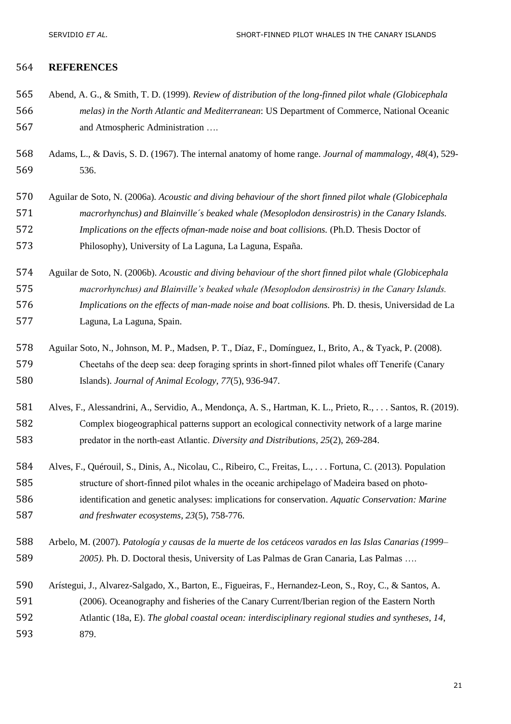## **REFERENCES**

- <span id="page-20-1"></span> Abend, A. G., & Smith, T. D. (1999). *Review of distribution of the long-finned pilot whale (Globicephala melas) in the North Atlantic and Mediterranean*: US Department of Commerce, National Oceanic and Atmospheric Administration ….
- <span id="page-20-0"></span> Adams, L., & Davis, S. D. (1967). The internal anatomy of home range. *Journal of mammalogy, 48*(4), 529- 536.
- <span id="page-20-6"></span> Aguilar de Soto, N. (2006a). *Acoustic and diving behaviour of the short finned pilot whale (Globicephala macrorhynchus) and Blainville´s beaked whale (Mesoplodon densirostris) in the Canary Islands. Implications on the effects ofman-made noise and boat collisions.* (Ph.D. Thesis Doctor of Philosophy), University of La Laguna, La Laguna, España.
- <span id="page-20-7"></span> Aguilar de Soto, N. (2006b). *Acoustic and diving behaviour of the short finned pilot whale (Globicephala macrorhynchus) and Blainville's beaked whale (Mesoplodon densirostris) in the Canary Islands. Implications on the effects of man-made noise and boat collisions.* Ph. D. thesis, Universidad de La Laguna, La Laguna, Spain.
- <span id="page-20-4"></span> Aguilar Soto, N., Johnson, M. P., Madsen, P. T., Díaz, F., Domínguez, I., Brito, A., & Tyack, P. (2008). 579 Cheetahs of the deep sea: deep foraging sprints in short-finned pilot whales off Tenerife (Canary Islands). *Journal of Animal Ecology, 77*(5), 936-947.
- <span id="page-20-5"></span> Alves, F., Alessandrini, A., Servidio, A., Mendonça, A. S., Hartman, K. L., Prieto, R., . . . Santos, R. (2019). Complex biogeographical patterns support an ecological connectivity network of a large marine 583 predator in the north-east Atlantic. *Diversity and Distributions*, 25(2), 269-284.
- <span id="page-20-2"></span> Alves, F., Quérouil, S., Dinis, A., Nicolau, C., Ribeiro, C., Freitas, L., . . . Fortuna, C. (2013). Population 585 structure of short-finned pilot whales in the oceanic archipelago of Madeira based on photo- identification and genetic analyses: implications for conservation. *Aquatic Conservation: Marine and freshwater ecosystems, 23*(5), 758-776.
- <span id="page-20-8"></span> Arbelo, M. (2007). *Patología y causas de la muerte de los cetáceos varados en las Islas Canarias (1999– 2005).* Ph. D. Doctoral thesis, University of Las Palmas de Gran Canaria, Las Palmas ….
- <span id="page-20-3"></span> Arístegui, J., Alvarez-Salgado, X., Barton, E., Figueiras, F., Hernandez-Leon, S., Roy, C., & Santos, A. (2006). Oceanography and fisheries of the Canary Current/Iberian region of the Eastern North Atlantic (18a, E). *The global coastal ocean: interdisciplinary regional studies and syntheses, 14*, 879.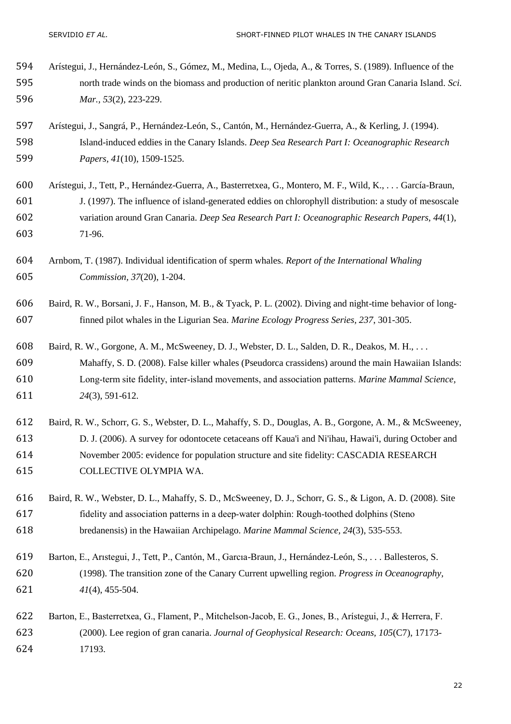- <span id="page-21-0"></span> Arístegui, J., Hernández-León, S., Gómez, M., Medina, L., Ojeda, A., & Torres, S. (1989). Influence of the north trade winds on the biomass and production of neritic plankton around Gran Canaria Island. *Sci. Mar., 53*(2), 223-229.
- <span id="page-21-9"></span> Arístegui, J., Sangrá, P., Hernández-León, S., Cantón, M., Hernández-Guerra, A., & Kerling, J. (1994). Island-induced eddies in the Canary Islands. *Deep Sea Research Part I: Oceanographic Research Papers, 41*(10), 1509-1525.
- <span id="page-21-1"></span> Arístegui, J., Tett, P., Hernández-Guerra, A., Basterretxea, G., Montero, M. F., Wild, K., . . . García-Braun, J. (1997). The influence of island-generated eddies on chlorophyll distribution: a study of mesoscale variation around Gran Canaria. *Deep Sea Research Part I: Oceanographic Research Papers, 44*(1), 71-96.
- <span id="page-21-2"></span> Arnbom, T. (1987). Individual identification of sperm whales. *Report of the International Whaling Commission, 37*(20), 1-204.
- <span id="page-21-7"></span> Baird, R. W., Borsani, J. F., Hanson, M. B., & Tyack, P. L. (2002). Diving and night-time behavior of long-finned pilot whales in the Ligurian Sea. *Marine Ecology Progress Series, 237*, 301-305.
- <span id="page-21-3"></span> Baird, R. W., Gorgone, A. M., McSweeney, D. J., Webster, D. L., Salden, D. R., Deakos, M. H., . . . Mahaffy, S. D. (2008). False killer whales (Pseudorca crassidens) around the main Hawaiian Islands: Long‐term site fidelity, inter‐island movements, and association patterns. *Marine Mammal Science, 24*(3), 591-612.
- <span id="page-21-8"></span> Baird, R. W., Schorr, G. S., Webster, D. L., Mahaffy, S. D., Douglas, A. B., Gorgone, A. M., & McSweeney, D. J. (2006). A survey for odontocete cetaceans off Kaua'i and Ni'ihau, Hawai'i, during October and November 2005: evidence for population structure and site fidelity: CASCADIA RESEARCH COLLECTIVE OLYMPIA WA.
- <span id="page-21-4"></span> Baird, R. W., Webster, D. L., Mahaffy, S. D., McSweeney, D. J., Schorr, G. S., & Ligon, A. D. (2008). Site fidelity and association patterns in a deep‐water dolphin: Rough‐toothed dolphins (Steno bredanensis) in the Hawaiian Archipelago. *Marine Mammal Science, 24*(3), 535-553.
- <span id="page-21-6"></span> Barton, E., Arıstegui, J., Tett, P., Cantón, M., Garcıa-Braun, J., Hernández-León, S., . . . Ballesteros, S. (1998). The transition zone of the Canary Current upwelling region. *Progress in Oceanography, 41*(4), 455-504.
- <span id="page-21-5"></span> Barton, E., Basterretxea, G., Flament, P., Mitchelson‐Jacob, E. G., Jones, B., Arístegui, J., & Herrera, F. (2000). Lee region of gran canaria. *Journal of Geophysical Research: Oceans, 105*(C7), 17173- 17193.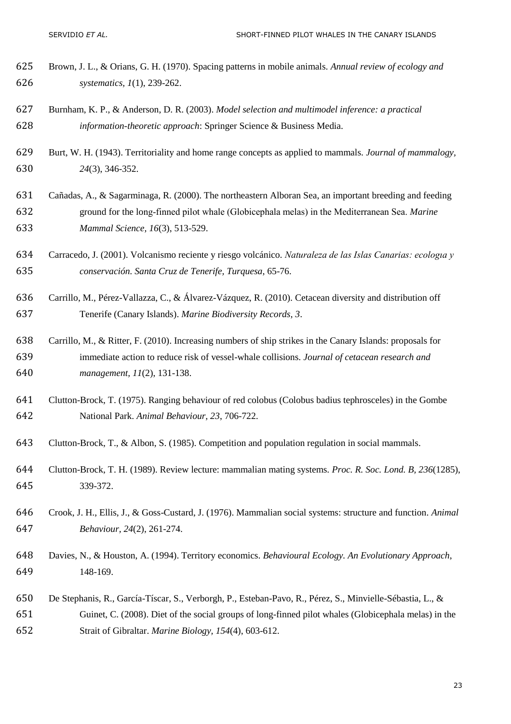- <span id="page-22-2"></span> Brown, J. L., & Orians, G. H. (1970). Spacing patterns in mobile animals. *Annual review of ecology and systematics, 1*(1), 239-262.
- <span id="page-22-11"></span> Burnham, K. P., & Anderson, D. R. (2003). *Model selection and multimodel inference: a practical information-theoretic approach*: Springer Science & Business Media.
- <span id="page-22-3"></span> Burt, W. H. (1943). Territoriality and home range concepts as applied to mammals. *Journal of mammalogy, 24*(3), 346-352.
- <span id="page-22-7"></span> Cañadas, A., & Sagarminaga, R. (2000). The northeastern Alboran Sea, an important breeding and feeding ground for the long‐finned pilot whale (Globicephala melas) in the Mediterranean Sea. *Marine Mammal Science, 16*(3), 513-529.
- <span id="page-22-10"></span> Carracedo, J. (2001). Volcanismo reciente y riesgo volcánico. *Naturaleza de las Islas Canarias: ecologıa y conservación. Santa Cruz de Tenerife, Turquesa*, 65-76.
- <span id="page-22-8"></span> Carrillo, M., Pérez-Vallazza, C., & Álvarez-Vázquez, R. (2010). Cetacean diversity and distribution off Tenerife (Canary Islands). *Marine Biodiversity Records, 3*.
- <span id="page-22-9"></span> Carrillo, M., & Ritter, F. (2010). Increasing numbers of ship strikes in the Canary Islands: proposals for immediate action to reduce risk of vessel-whale collisions. *Journal of cetacean research and management, 11*(2), 131-138.
- <span id="page-22-6"></span> Clutton-Brock, T. (1975). Ranging behaviour of red colobus (Colobus badius tephrosceles) in the Gombe National Park. *Animal Behaviour, 23*, 706-722.
- <span id="page-22-1"></span>Clutton-Brock, T., & Albon, S. (1985). Competition and population regulation in social mammals.
- <span id="page-22-0"></span> Clutton-Brock, T. H. (1989). Review lecture: mammalian mating systems. *Proc. R. Soc. Lond. B, 236*(1285), 339-372.
- <span id="page-22-4"></span> Crook, J. H., Ellis, J., & Goss-Custard, J. (1976). Mammalian social systems: structure and function. *Animal Behaviour, 24*(2), 261-274.
- <span id="page-22-5"></span> Davies, N., & Houston, A. (1994). Territory economics. *Behavioural Ecology. An Evolutionary Approach*, 148-169.
- <span id="page-22-12"></span> De Stephanis, R., García-Tíscar, S., Verborgh, P., Esteban-Pavo, R., Pérez, S., Minvielle-Sébastia, L., & Guinet, C. (2008). Diet of the social groups of long-finned pilot whales (Globicephala melas) in the Strait of Gibraltar. *Marine Biology, 154*(4), 603-612.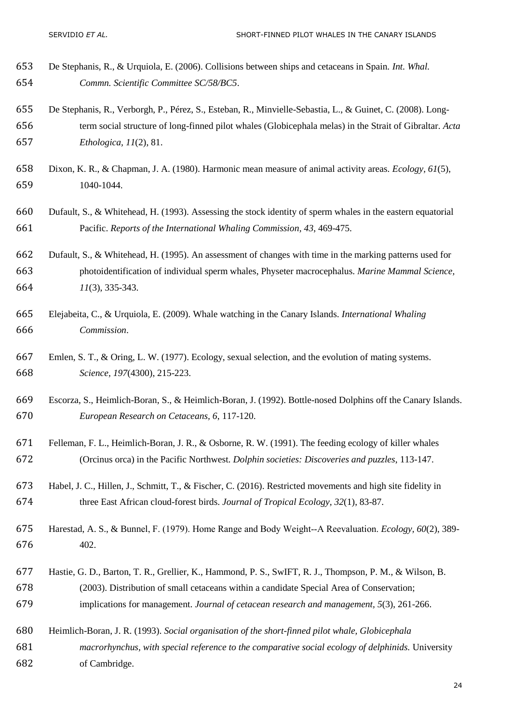- <span id="page-23-12"></span> De Stephanis, R., & Urquiola, E. (2006). Collisions between ships and cetaceans in Spain. *Int. Whal. Commn. Scientific Committee SC/58/BC5*.
- <span id="page-23-4"></span> De Stephanis, R., Verborgh, P., Pérez, S., Esteban, R., Minvielle-Sebastia, L., & Guinet, C. (2008). Long- term social structure of long-finned pilot whales (Globicephala melas) in the Strait of Gibraltar. *Acta Ethologica, 11*(2), 81.
- <span id="page-23-1"></span> Dixon, K. R., & Chapman, J. A. (1980). Harmonic mean measure of animal activity areas. *Ecology, 61*(5), 1040-1044.
- <span id="page-23-8"></span> Dufault, S., & Whitehead, H. (1993). Assessing the stock identity of sperm whales in the eastern equatorial Pacific. *Reports of the International Whaling Commission, 43*, 469-475.
- <span id="page-23-9"></span> Dufault, S., & Whitehead, H. (1995). An assessment of changes with time in the marking patterns used for photoidentification of individual sperm whales, Physeter macrocephalus. *Marine Mammal Science, 11*(3), 335-343.
- <span id="page-23-11"></span> Elejabeita, C., & Urquiola, E. (2009). Whale watching in the Canary Islands. *International Whaling Commission*.
- <span id="page-23-2"></span> Emlen, S. T., & Oring, L. W. (1977). Ecology, sexual selection, and the evolution of mating systems. *Science, 197*(4300), 215-223.
- <span id="page-23-6"></span> Escorza, S., Heimlich-Boran, S., & Heimlich-Boran, J. (1992). Bottle-nosed Dolphins off the Canary Islands. *European Research on Cetaceans, 6*, 117-120.
- <span id="page-23-10"></span> Felleman, F. L., Heimlich-Boran, J. R., & Osborne, R. W. (1991). The feeding ecology of killer whales (Orcinus orca) in the Pacific Northwest. *Dolphin societies: Discoveries and puzzles*, 113-147.
- <span id="page-23-7"></span> Habel, J. C., Hillen, J., Schmitt, T., & Fischer, C. (2016). Restricted movements and high site fidelity in three East African cloud-forest birds. *Journal of Tropical Ecology, 32*(1), 83-87.
- <span id="page-23-3"></span> Harestad, A. S., & Bunnel, F. (1979). Home Range and Body Weight‐‐A Reevaluation. *Ecology, 60*(2), 389- 402.
- <span id="page-23-0"></span> Hastie, G. D., Barton, T. R., Grellier, K., Hammond, P. S., SwIFT, R. J., Thompson, P. M., & Wilson, B. (2003). Distribution of small cetaceans within a candidate Special Area of Conservation; implications for management. *Journal of cetacean research and management, 5*(3), 261-266.
- <span id="page-23-5"></span>Heimlich-Boran, J. R. (1993). *Social organisation of the short-finned pilot whale, Globicephala*
- *macrorhynchus, with special reference to the comparative social ecology of delphinids.* University of Cambridge.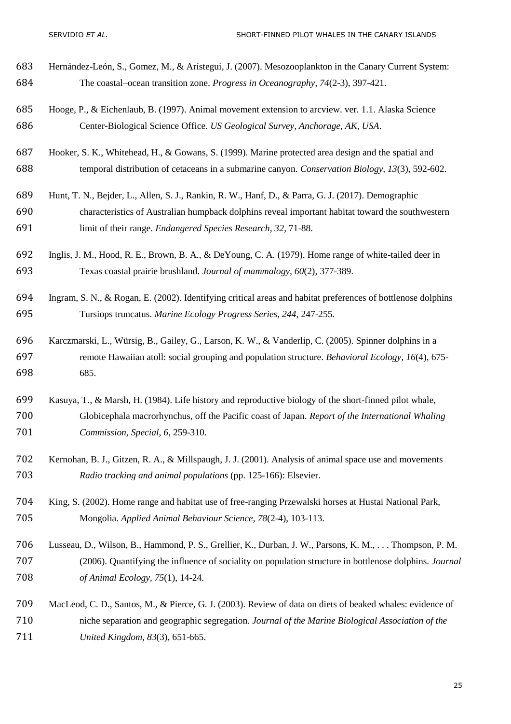- <span id="page-24-9"></span> Hernández-León, S., Gomez, M., & Arístegui, J. (2007). Mesozooplankton in the Canary Current System: The coastal–ocean transition zone. *Progress in Oceanography, 74*(2-3), 397-421.
- <span id="page-24-7"></span> Hooge, P., & Eichenlaub, B. (1997). Animal movement extension to arcview. ver. 1.1. Alaska Science Center-Biological Science Office. *US Geological Survey, Anchorage, AK, USA*.
- <span id="page-24-1"></span> Hooker, S. K., Whitehead, H., & Gowans, S. (1999). Marine protected area design and the spatial and temporal distribution of cetaceans in a submarine canyon. *Conservation Biology, 13*(3), 592-602.
- <span id="page-24-4"></span>Hunt, T. N., Bejder, L., Allen, S. J., Rankin, R. W., Hanf, D., & Parra, G. J. (2017). Demographic
- characteristics of Australian humpback dolphins reveal important habitat toward the southwestern limit of their range. *Endangered Species Research, 32*, 71-88.
- <span id="page-24-0"></span> Inglis, J. M., Hood, R. E., Brown, B. A., & DeYoung, C. A. (1979). Home range of white-tailed deer in Texas coastal prairie brushland. *Journal of mammalogy, 60*(2), 377-389.
- <span id="page-24-2"></span> Ingram, S. N., & Rogan, E. (2002). Identifying critical areas and habitat preferences of bottlenose dolphins Tursiops truncatus. *Marine Ecology Progress Series, 244*, 247-255.
- <span id="page-24-5"></span> Karczmarski, L., Würsig, B., Gailey, G., Larson, K. W., & Vanderlip, C. (2005). Spinner dolphins in a remote Hawaiian atoll: social grouping and population structure. *Behavioral Ecology, 16*(4), 675- 685.
- <span id="page-24-6"></span> Kasuya, T., & Marsh, H. (1984). Life history and reproductive biology of the short-finned pilot whale, Globicephala macrorhynchus, off the Pacific coast of Japan. *Report of the International Whaling Commission, Special, 6*, 259-310.
- <span id="page-24-8"></span> Kernohan, B. J., Gitzen, R. A., & Millspaugh, J. J. (2001). Analysis of animal space use and movements *Radio tracking and animal populations* (pp. 125-166): Elsevier.
- <span id="page-24-3"></span> King, S. (2002). Home range and habitat use of free-ranging Przewalski horses at Hustai National Park, Mongolia. *Applied Animal Behaviour Science, 78*(2-4), 103-113.
- <span id="page-24-11"></span> Lusseau, D., Wilson, B., Hammond, P. S., Grellier, K., Durban, J. W., Parsons, K. M., . . . Thompson, P. M. (2006). Quantifying the influence of sociality on population structure in bottlenose dolphins. *Journal of Animal Ecology, 75*(1), 14-24.
- <span id="page-24-10"></span> MacLeod, C. D., Santos, M., & Pierce, G. J. (2003). Review of data on diets of beaked whales: evidence of niche separation and geographic segregation. *Journal of the Marine Biological Association of the United Kingdom, 83*(3), 651-665.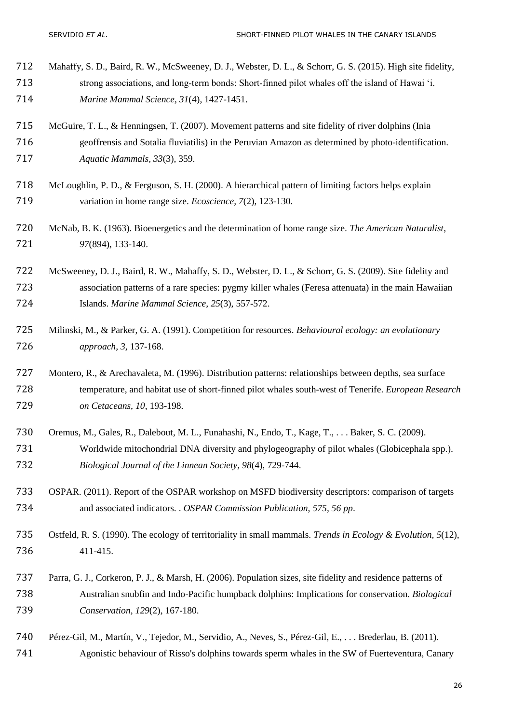<span id="page-25-10"></span><span id="page-25-9"></span><span id="page-25-8"></span><span id="page-25-7"></span><span id="page-25-6"></span><span id="page-25-5"></span><span id="page-25-4"></span><span id="page-25-3"></span><span id="page-25-2"></span><span id="page-25-1"></span><span id="page-25-0"></span>

| 712 | Mahaffy, S. D., Baird, R. W., McSweeney, D. J., Webster, D. L., & Schorr, G. S. (2015). High site fidelity,  |
|-----|--------------------------------------------------------------------------------------------------------------|
| 713 | strong associations, and long-term bonds: Short-finned pilot whales off the island of Hawai 'i.              |
| 714 | Marine Mammal Science, 31(4), 1427-1451.                                                                     |
| 715 | McGuire, T. L., & Henningsen, T. (2007). Movement patterns and site fidelity of river dolphins (Inia         |
| 716 | geoffrensis and Sotalia fluviatilis) in the Peruvian Amazon as determined by photo-identification.           |
| 717 | Aquatic Mammals, 33(3), 359.                                                                                 |
| 718 | McLoughlin, P. D., & Ferguson, S. H. (2000). A hierarchical pattern of limiting factors helps explain        |
| 719 | variation in home range size. <i>Ecoscience</i> , 7(2), 123-130.                                             |
| 720 | McNab, B. K. (1963). Bioenergetics and the determination of home range size. The American Naturalist,        |
| 721 | 97(894), 133-140.                                                                                            |
| 722 | McSweeney, D. J., Baird, R. W., Mahaffy, S. D., Webster, D. L., & Schorr, G. S. (2009). Site fidelity and    |
| 723 | association patterns of a rare species: pygmy killer whales (Feresa attenuata) in the main Hawaiian          |
| 724 | Islands. Marine Mammal Science, 25(3), 557-572.                                                              |
| 725 | Milinski, M., & Parker, G. A. (1991). Competition for resources. Behavioural ecology: an evolutionary        |
| 726 | approach, 3, 137-168.                                                                                        |
| 727 | Montero, R., & Arechavaleta, M. (1996). Distribution patterns: relationships between depths, sea surface     |
| 728 | temperature, and habitat use of short-finned pilot whales south-west of Tenerife. European Research          |
| 729 | on Cetaceans, 10, 193-198.                                                                                   |
| 730 | Oremus, M., Gales, R., Dalebout, M. L., Funahashi, N., Endo, T., Kage, T.,  Baker, S. C. (2009).             |
| 731 | Worldwide mitochondrial DNA diversity and phylogeography of pilot whales (Globicephala spp.).                |
| 732 | Biological Journal of the Linnean Society, 98(4), 729-744.                                                   |
| 733 | OSPAR. (2011). Report of the OSPAR workshop on MSFD biodiversity descriptors: comparison of targets          |
| 734 | and associated indicators. . OSPAR Commission Publication, 575, 56 pp.                                       |
| 735 | Ostfeld, R. S. (1990). The ecology of territoriality in small mammals. Trends in Ecology & Evolution, 5(12), |
| 736 | 411-415.                                                                                                     |
| 737 | Parra, G. J., Corkeron, P. J., & Marsh, H. (2006). Population sizes, site fidelity and residence patterns of |
| 738 | Australian snubfin and Indo-Pacific humpback dolphins: Implications for conservation. Biological             |
| 739 | Conservation, 129(2), 167-180.                                                                               |
| 740 | Pérez-Gil, M., Martín, V., Tejedor, M., Servidio, A., Neves, S., Pérez-Gil, E.,  Brederlau, B. (2011).       |
| 741 | Agonistic behaviour of Risso's dolphins towards sperm whales in the SW of Fuerteventura, Canary              |
|     |                                                                                                              |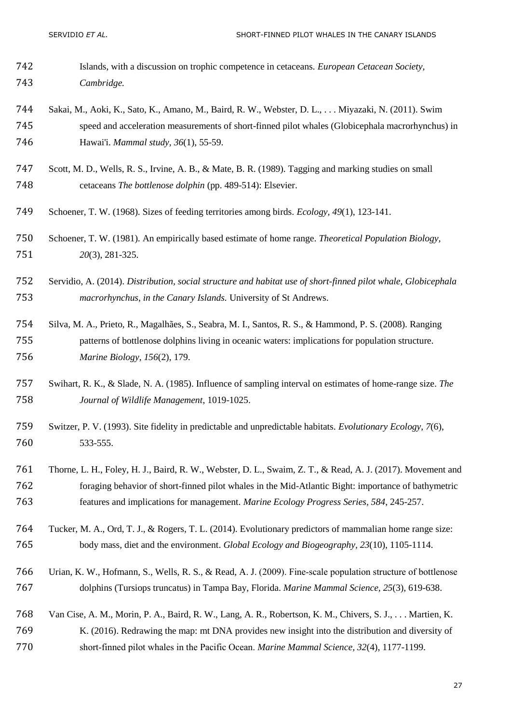- Islands, with a discussion on trophic competence in cetaceans. *European Cetacean Society, Cambridge.*
- <span id="page-26-9"></span> Sakai, M., Aoki, K., Sato, K., Amano, M., Baird, R. W., Webster, D. L., . . . Miyazaki, N. (2011). Swim speed and acceleration measurements of short-finned pilot whales (Globicephala macrorhynchus) in Hawai'i. *Mammal study, 36*(1), 55-59.
- <span id="page-26-6"></span> Scott, M. D., Wells, R. S., Irvine, A. B., & Mate, B. R. (1989). Tagging and marking studies on small cetaceans *The bottlenose dolphin* (pp. 489-514): Elsevier.
- <span id="page-26-1"></span>Schoener, T. W. (1968). Sizes of feeding territories among birds. *Ecology, 49*(1), 123-141.
- <span id="page-26-8"></span> Schoener, T. W. (1981). An empirically based estimate of home range. *Theoretical Population Biology, 20*(3), 281-325.
- <span id="page-26-10"></span> Servidio, A. (2014). *Distribution, social structure and habitat use of short-finned pilot whale, Globicephala macrorhynchus, in the Canary Islands.* University of St Andrews.
- <span id="page-26-3"></span> Silva, M. A., Prieto, R., Magalhães, S., Seabra, M. I., Santos, R. S., & Hammond, P. S. (2008). Ranging patterns of bottlenose dolphins living in oceanic waters: implications for population structure. *Marine Biology, 156*(2), 179.
- <span id="page-26-7"></span> Swihart, R. K., & Slade, N. A. (1985). Influence of sampling interval on estimates of home-range size. *The Journal of Wildlife Management*, 1019-1025.
- <span id="page-26-0"></span> Switzer, P. V. (1993). Site fidelity in predictable and unpredictable habitats. *Evolutionary Ecology, 7*(6), 533-555.
- <span id="page-26-5"></span> Thorne, L. H., Foley, H. J., Baird, R. W., Webster, D. L., Swaim, Z. T., & Read, A. J. (2017). Movement and foraging behavior of short-finned pilot whales in the Mid-Atlantic Bight: importance of bathymetric features and implications for management. *Marine Ecology Progress Series, 584*, 245-257.
- <span id="page-26-2"></span> Tucker, M. A., Ord, T. J., & Rogers, T. L. (2014). Evolutionary predictors of mammalian home range size: body mass, diet and the environment. *Global Ecology and Biogeography, 23*(10), 1105-1114.
- <span id="page-26-11"></span> Urian, K. W., Hofmann, S., Wells, R. S., & Read, A. J. (2009). Fine‐scale population structure of bottlenose dolphins (Tursiops truncatus) in Tampa Bay, Florida. *Marine Mammal Science, 25*(3), 619-638.
- <span id="page-26-4"></span> Van Cise, A. M., Morin, P. A., Baird, R. W., Lang, A. R., Robertson, K. M., Chivers, S. J., . . . Martien, K. K. (2016). Redrawing the map: mt DNA provides new insight into the distribution and diversity of short‐finned pilot whales in the Pacific Ocean. *Marine Mammal Science, 32*(4), 1177-1199.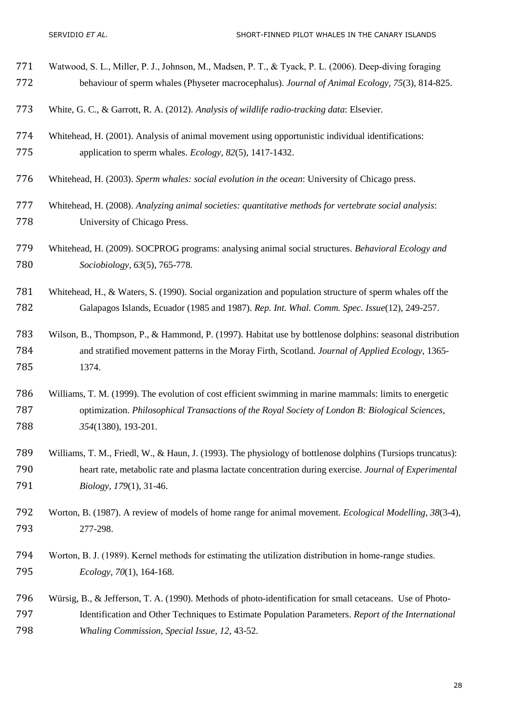- <span id="page-27-10"></span>771 Watwood, S. L., Miller, P. J., Johnson, M., Madsen, P. T., & Tyack, P. L. (2006). Deep-diving foraging behaviour of sperm whales (Physeter macrocephalus). *Journal of Animal Ecology, 75*(3), 814-825.
- <span id="page-27-8"></span>White, G. C., & Garrott, R. A. (2012). *Analysis of wildlife radio-tracking data*: Elsevier.
- <span id="page-27-4"></span> Whitehead, H. (2001). Analysis of animal movement using opportunistic individual identifications: application to sperm whales. *Ecology, 82*(5), 1417-1432.
- <span id="page-27-11"></span>Whitehead, H. (2003). *Sperm whales: social evolution in the ocean*: University of Chicago press.
- <span id="page-27-12"></span> Whitehead, H. (2008). *Analyzing animal societies: quantitative methods for vertebrate social analysis*: University of Chicago Press.
- <span id="page-27-5"></span> Whitehead, H. (2009). SOCPROG programs: analysing animal social structures. *Behavioral Ecology and Sociobiology, 63*(5), 765-778.
- <span id="page-27-6"></span> Whitehead, H., & Waters, S. (1990). Social organization and population structure of sperm whales off the Galapagos Islands, Ecuador (1985 and 1987). *Rep. Int. Whal. Comm. Spec. Issue*(12), 249-257.
- <span id="page-27-0"></span> Wilson, B., Thompson, P., & Hammond, P. (1997). Habitat use by bottlenose dolphins: seasonal distribution and stratified movement patterns in the Moray Firth, Scotland. *Journal of Applied Ecology*, 1365- 1374.
- <span id="page-27-1"></span> Williams, T. M. (1999). The evolution of cost efficient swimming in marine mammals: limits to energetic optimization. *Philosophical Transactions of the Royal Society of London B: Biological Sciences, 354*(1380), 193-201.
- <span id="page-27-3"></span> Williams, T. M., Friedl, W., & Haun, J. (1993). The physiology of bottlenose dolphins (Tursiops truncatus): heart rate, metabolic rate and plasma lactate concentration during exercise. *Journal of Experimental Biology, 179*(1), 31-46.
- <span id="page-27-9"></span> Worton, B. (1987). A review of models of home range for animal movement. *Ecological Modelling, 38*(3-4), 277-298.
- <span id="page-27-7"></span>794 Worton, B. J. (1989). Kernel methods for estimating the utilization distribution in home-range studies. *Ecology, 70*(1), 164-168.
- <span id="page-27-2"></span> Würsig, B., & Jefferson, T. A. (1990). Methods of photo-identification for small cetaceans. Use of Photo- Identification and Other Techniques to Estimate Population Parameters. *Report of the International Whaling Commission, Special Issue, 12*, 43-52.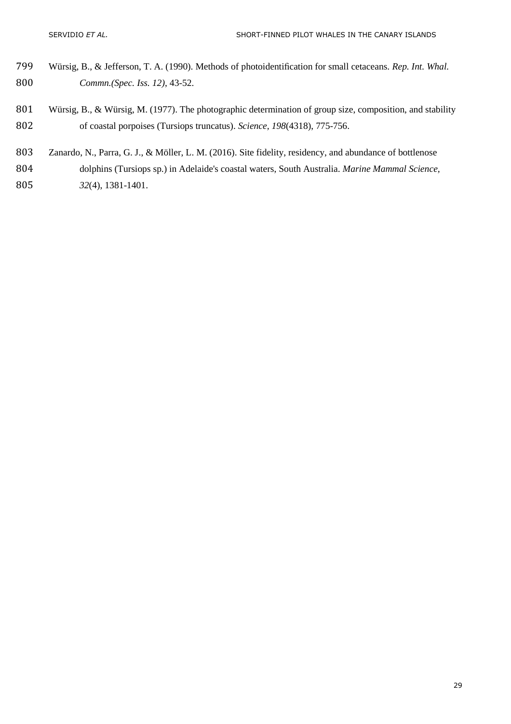- <span id="page-28-2"></span> Würsig, B., & Jefferson, T. A. (1990). Methods of photoidentification for small cetaceans. *Rep. Int. Whal. Commn.(Spec. Iss. 12)*, 43-52.
- <span id="page-28-1"></span>801 Würsig, B., & Würsig, M. (1977). The photographic determination of group size, composition, and stability of coastal porpoises (Tursiops truncatus). *Science, 198*(4318), 775-756.
- <span id="page-28-0"></span> Zanardo, N., Parra, G. J., & Möller, L. M. (2016). Site fidelity, residency, and abundance of bottlenose dolphins (Tursiops sp.) in Adelaide's coastal waters, South Australia. *Marine Mammal Science, 32*(4), 1381-1401.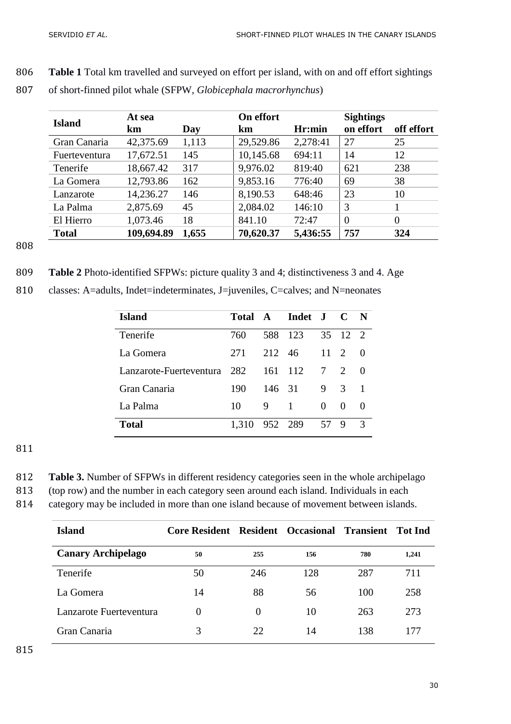806 **Table 1** Total km travelled and surveyed on effort per island, with on and off effort sightings

| <b>Island</b> | At sea     |       | On effort |          | <b>Sightings</b> |            |
|---------------|------------|-------|-----------|----------|------------------|------------|
|               | km         | Day   | km        | Hr:min   | on effort        | off effort |
| Gran Canaria  | 42,375.69  | 1,113 | 29,529.86 | 2,278:41 | 27               | 25         |
| Fuerteventura | 17,672.51  | 145   | 10,145.68 | 694:11   | 14               | 12         |
| Tenerife      | 18,667.42  | 317   | 9,976.02  | 819:40   | 621              | 238        |
| La Gomera     | 12,793.86  | 162   | 9,853.16  | 776:40   | 69               | 38         |
| Lanzarote     | 14,236.27  | 146   | 8,190.53  | 648:46   | 23               | 10         |
| La Palma      | 2,875.69   | 45    | 2,084.02  | 146:10   | 3                |            |
| El Hierro     | 1,073.46   | 18    | 841.10    | 72:47    | $\overline{0}$   | $\theta$   |
| <b>Total</b>  | 109,694.89 | 1,655 | 70,620.37 | 5,436:55 | 757              | 324        |

807 of short-finned pilot whale (SFPW, *Globicephala macrorhynchus*)

808

809 **Table 2** Photo-identified SFPWs: picture quality 3 and 4; distinctiveness 3 and 4. Age

| Island                      |       |         | Total A Indet J C N |                 |               |                  |
|-----------------------------|-------|---------|---------------------|-----------------|---------------|------------------|
| Tenerife                    | 760   |         | 588 123             |                 | 35 12 2       |                  |
| La Gomera                   | 271   | 212 46  |                     | $11 \quad 2$    |               | - ()             |
| Lanzarote-Fuerteventura 282 |       |         | 161 112             | $7\overline{ }$ | $\mathcal{D}$ | $\left( \right)$ |
| Gran Canaria                | 190   | 146 31  |                     | 9               | 3             |                  |
| La Palma                    | 10    | 9       | -1                  | 0               | $\theta$      | $\left($         |
| <b>Total</b>                | 1.310 | 952 289 |                     | 57 9            |               | 3                |

810 classes: A=adults, Indet=indeterminates, J=juveniles, C=calves; and N=neonates

| 812 | Table 3. Number of SFPWs in different residency categories seen in the whole archipelago |  |  |
|-----|------------------------------------------------------------------------------------------|--|--|
|     |                                                                                          |  |  |

- 813 (top row) and the number in each category seen around each island. Individuals in each
- 814 category may be included in more than one island because of movement between islands.

| <b>Island</b>             | <b>Core Resident Resident Occasional Transient</b> |          |     |     | Tot Ind |
|---------------------------|----------------------------------------------------|----------|-----|-----|---------|
| <b>Canary Archipelago</b> | 50                                                 | 255      | 156 | 780 | 1,241   |
| Tenerife                  | 50                                                 | 246      | 128 | 287 | 711     |
| La Gomera                 | 14                                                 | 88       | 56  | 100 | 258     |
| Lanzarote Fuerteventura   | $\Omega$                                           | $\Omega$ | 10  | 263 | 273     |
| Gran Canaria              | 3                                                  | 22       | 14  | 138 | 177     |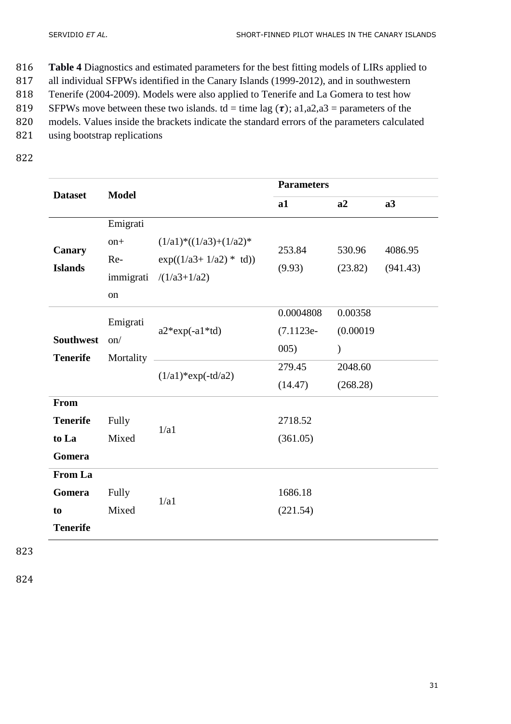- 816 **Table 4** Diagnostics and estimated parameters for the best fitting models of LIRs applied to
- 817 all individual SFPWs identified in the Canary Islands (1999-2012), and in southwestern
- 818 Tenerife (2004-2009). Models were also applied to Tenerife and La Gomera to test how
- 819 SFPWs move between these two islands. td = time lag  $(\tau)$ ; a1,a2,a3 = parameters of the
- 820 models. Values inside the brackets indicate the standard errors of the parameters calculated
- 821 using bootstrap replications
- 822

|                  |                                              | <b>Parameters</b>                                  |                   |          |  |  |
|------------------|----------------------------------------------|----------------------------------------------------|-------------------|----------|--|--|
|                  |                                              | a1                                                 | a2                | a3       |  |  |
| Emigrati         |                                              |                                                    |                   |          |  |  |
| $on+$            | $(1/a1)*(1/a3)+(1/a2)*$                      | 253.84<br>(9.93)                                   | 530.96<br>(23.82) | 4086.95  |  |  |
| Re-              | $exp((1/a3+1/a2) * td))$                     |                                                    |                   | (941.43) |  |  |
|                  | $/(1/a3+1/a2)$                               |                                                    |                   |          |  |  |
| on               |                                              |                                                    |                   |          |  |  |
|                  |                                              | 0.0004808                                          | 0.00358           |          |  |  |
| <b>Southwest</b> | $a2*exp(-a1*td)$                             | $(7.1123e-$                                        | (0.00019)         |          |  |  |
|                  |                                              | 005)                                               | $\mathcal{E}$     |          |  |  |
| <b>Tenerife</b>  |                                              | 279.45                                             | 2048.60           |          |  |  |
|                  |                                              | (14.47)                                            | (268.28)          |          |  |  |
|                  |                                              |                                                    |                   |          |  |  |
| Fully            |                                              | 2718.52                                            |                   |          |  |  |
| Mixed            |                                              | (361.05)                                           |                   |          |  |  |
|                  |                                              |                                                    |                   |          |  |  |
|                  |                                              |                                                    |                   |          |  |  |
| Fully            |                                              | 1686.18                                            |                   |          |  |  |
| Mixed            |                                              | (221.54)                                           |                   |          |  |  |
|                  |                                              |                                                    |                   |          |  |  |
|                  | <b>Model</b><br>Emigrati<br>on/<br>Mortality | immigrati<br>$(1/a1)$ *exp(-td/a2)<br>1/a1<br>1/a1 |                   |          |  |  |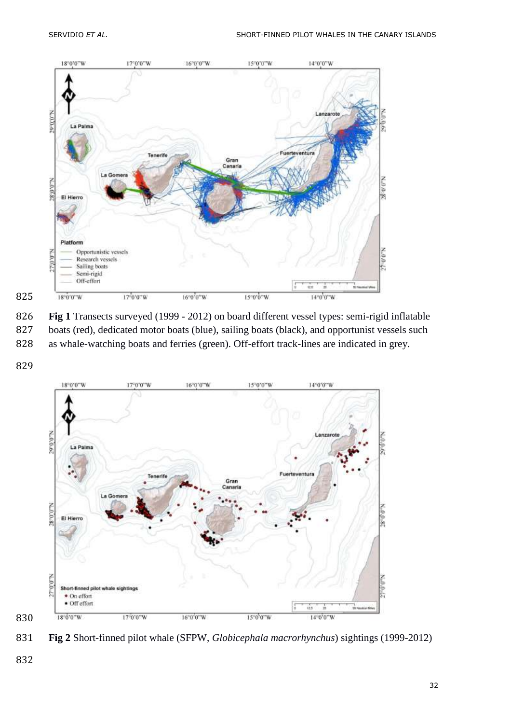

 **Fig 1** Transects surveyed (1999 - 2012) on board different vessel types: semi-rigid inflatable boats (red), dedicated motor boats (blue), sailing boats (black), and opportunist vessels such

- as whale-watching boats and ferries (green). Off-effort track-lines are indicated in grey.
- 



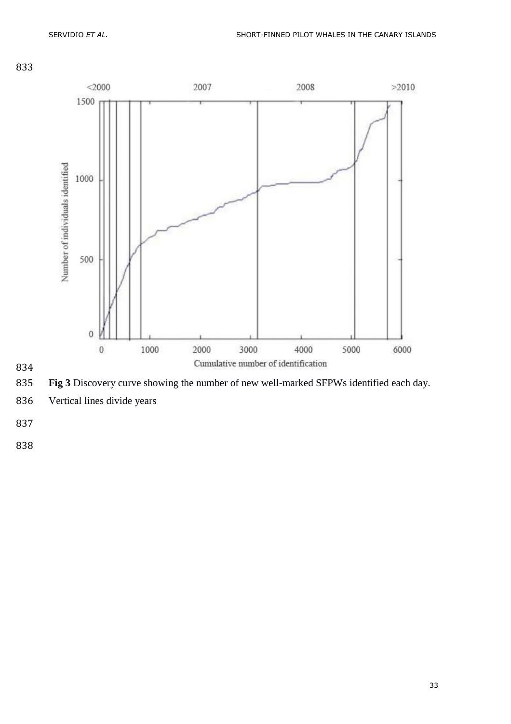





Vertical lines divide years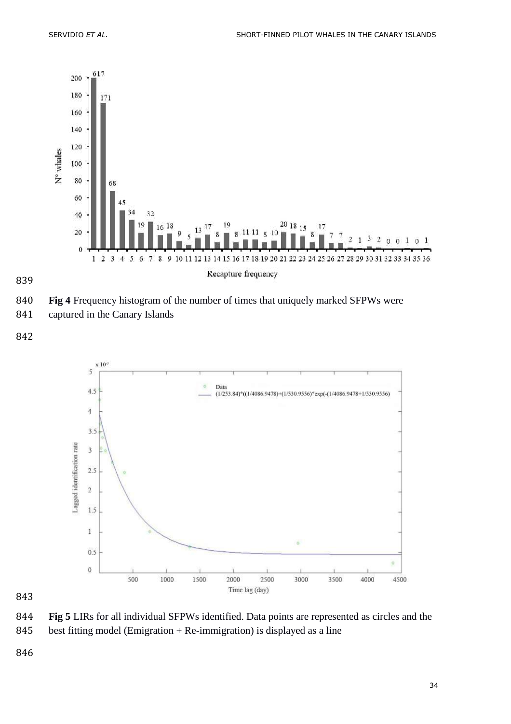



**Fig 4** Frequency histogram of the number of times that uniquely marked SFPWs were

captured in the Canary Islands



 **Fig 5** LIRs for all individual SFPWs identified. Data points are represented as circles and the best fitting model (Emigration + Re-immigration) is displayed as a line